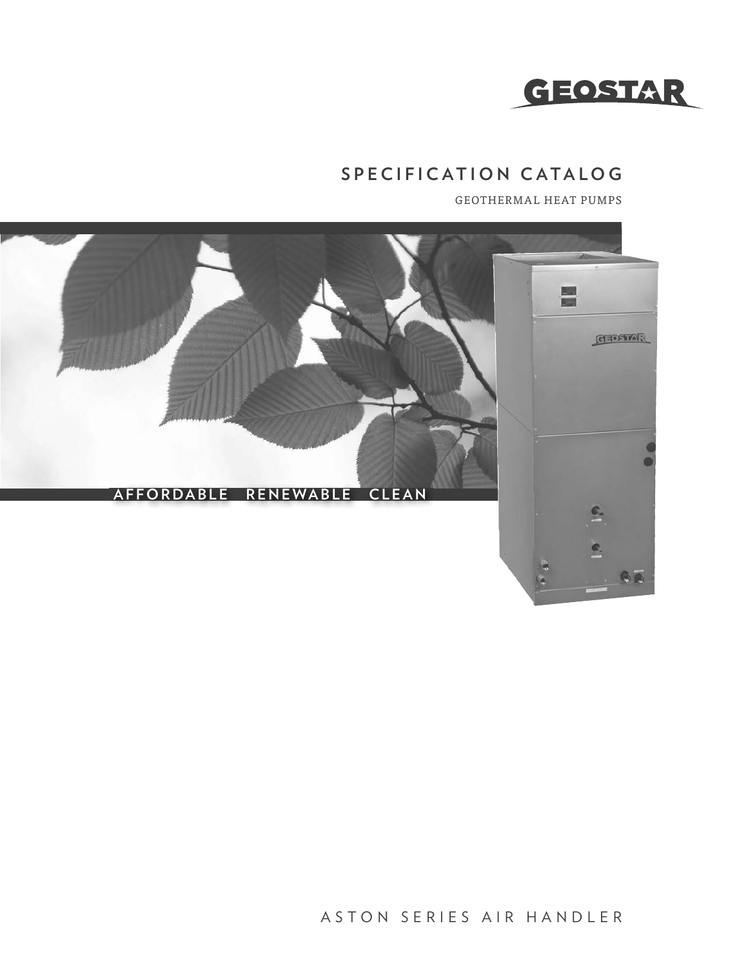

## **SPECIFICATION CATALOG**

GEOTHERMAL HEAT PUMPS



ASTON SERIES AIR HANDLER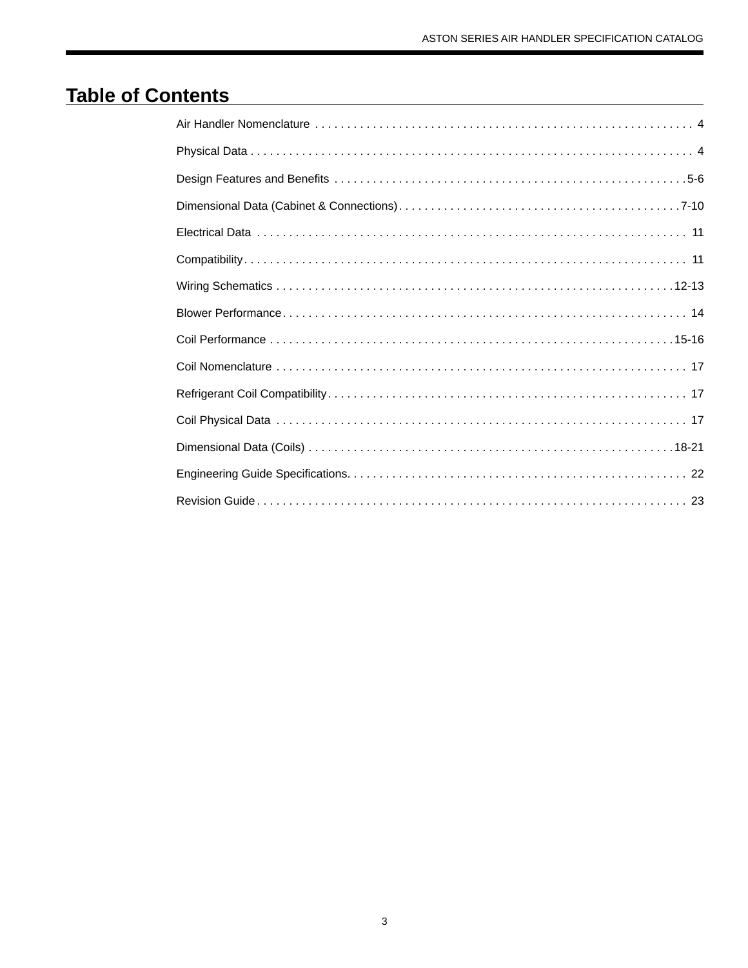# **Table of Contents**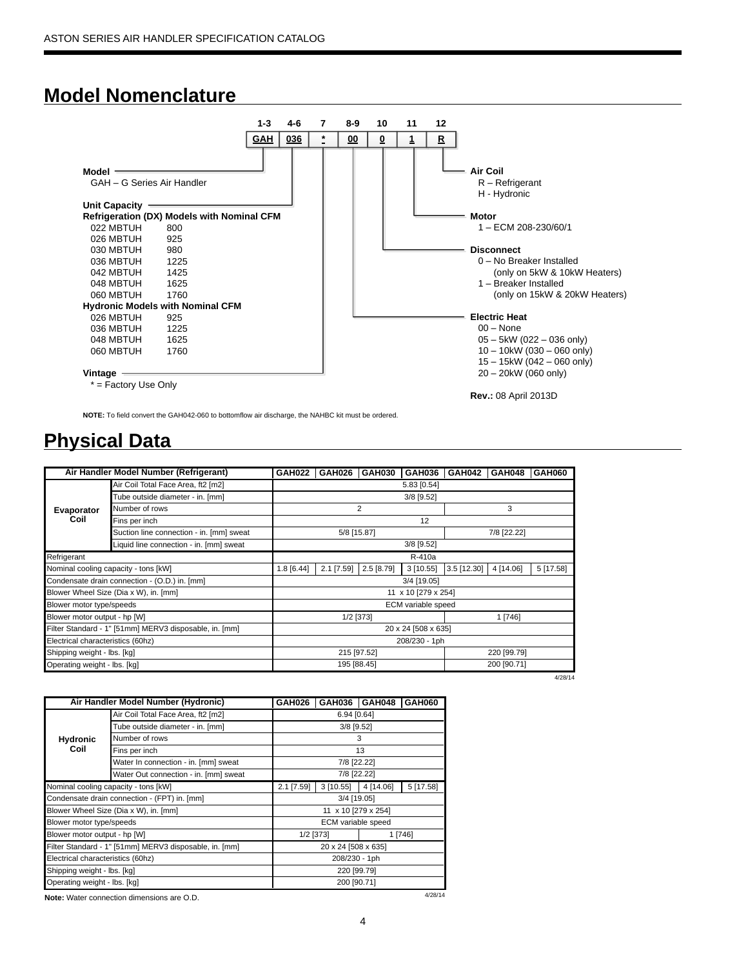## **Model Nomenclature**



**NOTE:** To field convert the GAH042-060 to bottomflow air discharge, the NAHBC kit must be ordered.

## **Physical Data**

|                                   | Air Handler Model Number (Refrigerant)                 | <b>GAH022</b> | GAH026       | <b>GAH030</b> | <b>GAH036</b>       | GAH042      | GAH048      | GAH060    |
|-----------------------------------|--------------------------------------------------------|---------------|--------------|---------------|---------------------|-------------|-------------|-----------|
|                                   | Air Coil Total Face Area, ft2 [m2]                     |               |              |               | 5.83 [0.54]         |             |             |           |
|                                   | Tube outside diameter - in. [mm]                       |               |              |               | 3/8 [9.52]          |             |             |           |
| Evaporator                        | Number of rows                                         |               |              | 2             |                     |             | 3           |           |
| Coil                              | Fins per inch                                          |               |              |               | 12                  |             |             |           |
|                                   | Suction line connection - in. [mm] sweat               |               | 5/8 [15.87]  |               |                     |             | 7/8 [22.22] |           |
|                                   | Liquid line connection - in. [mm] sweat                |               |              |               | $3/8$ [9.52]        |             |             |           |
| Refrigerant                       |                                                        |               |              |               | R-410a              |             |             |           |
|                                   | Nominal cooling capacity - tons [kW]                   | $1.8$ [6.44]  | $2.1$ [7.59] | 2.5 [8.79]    | 3[10.55]            | 3.5 [12.30] | 4 [14.06]   | 5 [17.58] |
|                                   | Condensate drain connection - (O.D.) in. [mm]          |               |              |               | 3/4 [19.05]         |             |             |           |
|                                   | Blower Wheel Size (Dia x W), in. [mm]                  |               |              |               | 11 x 10 [279 x 254] |             |             |           |
| Blower motor type/speeds          |                                                        |               |              |               | ECM variable speed  |             |             |           |
| Blower motor output - hp [W]      |                                                        |               |              | 1/2 [373]     |                     |             | 1 [746]     |           |
|                                   | Filter Standard - 1" [51mm] MERV3 disposable, in. [mm] |               |              |               | 20 x 24 [508 x 635] |             |             |           |
| Electrical characteristics (60hz) |                                                        |               |              |               | 208/230 - 1ph       |             |             |           |
| Shipping weight - lbs. [kg]       |                                                        |               |              | 215 [97.52]   |                     |             | 220 [99.79] |           |
| Operating weight - lbs. [kg]      |                                                        |               |              | 195 [88.45]   |                     |             | 200 [90.71] |           |

| ۰, |  |
|----|--|

|                                   | Air Handler Model Number (Hydronic)                    | <b>GAH026</b> | GAH036              | GAH048    | <b>GAH060</b> |
|-----------------------------------|--------------------------------------------------------|---------------|---------------------|-----------|---------------|
|                                   | Air Coil Total Face Area, ft2 [m2]                     |               | 6.94 [0.64]         |           |               |
|                                   | Tube outside diameter - in. [mm]                       |               | $3/8$ [9.52]        |           |               |
| <b>Hydronic</b>                   | Number of rows                                         |               |                     | 3         |               |
| Coil                              | Fins per inch                                          |               |                     | 13        |               |
|                                   | Water In connection - in. [mm] sweat                   |               | 7/8 [22.22]         |           |               |
|                                   | Water Out connection - in. [mm] sweat                  |               | 7/8 [22.22]         |           |               |
|                                   | Nominal cooling capacity - tons [kW]                   | $2.1$ [7.59]  | 3 [10.55]           | 4 [14.06] | 5 [17.58]     |
|                                   | Condensate drain connection - (FPT) in. [mm]           |               | 3/4 [19.05]         |           |               |
|                                   | Blower Wheel Size (Dia x W), in. [mm]                  |               | 11 x 10 [279 x 254] |           |               |
| Blower motor type/speeds          |                                                        |               | ECM variable speed  |           |               |
| Blower motor output - hp [W]      |                                                        | 1/2 [373]     |                     |           | 1 [746]       |
|                                   | Filter Standard - 1" [51mm] MERV3 disposable, in. [mm] |               | 20 x 24 [508 x 635] |           |               |
| Electrical characteristics (60hz) |                                                        |               | 208/230 - 1ph       |           |               |
| Shipping weight - lbs. [kg]       |                                                        |               | 220 [99.79]         |           |               |
| Operating weight - lbs. [kg]      |                                                        |               | 200 [90.71]         |           |               |
|                                   | Nets: Water connection dimensions are $\cap$ $\cap$    |               |                     |           | 4/28/14       |

**Note:** Water connection dimensions are O.D.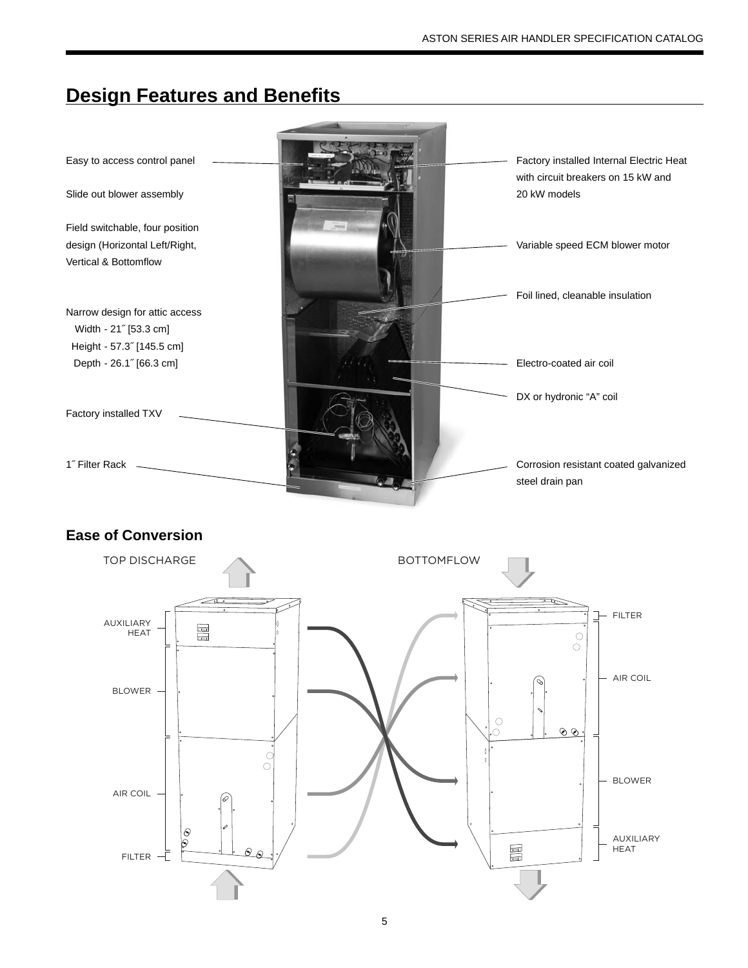# **Design Features and Benefits**



## **Ease of Conversion**

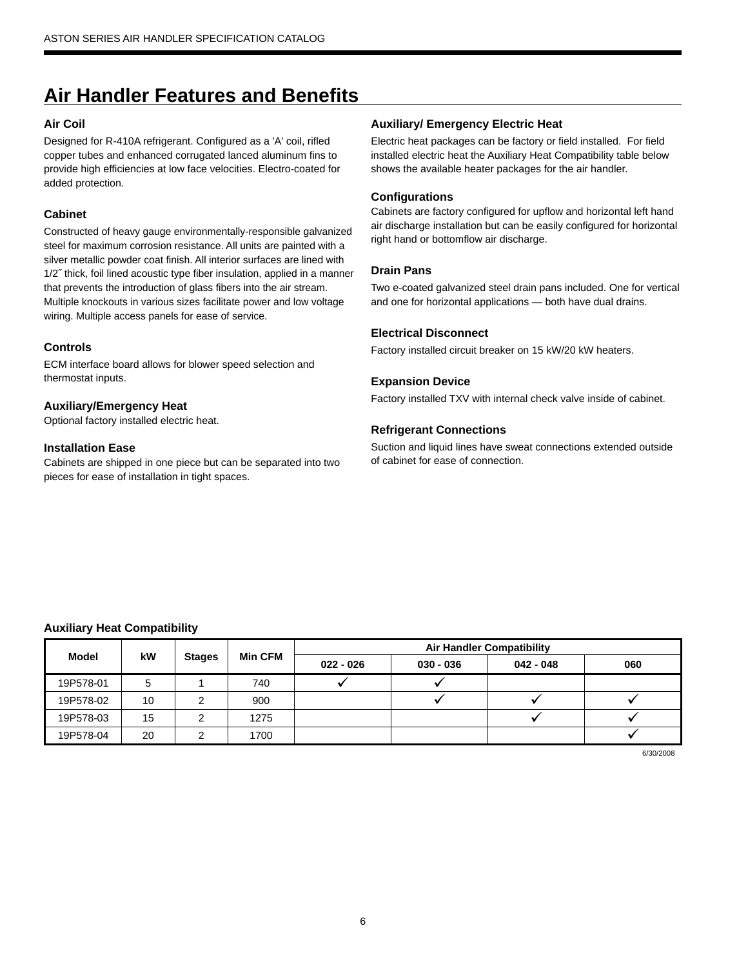# **Air Handler Features and Benefi ts**

#### **Air Coil**

Designed for R-410A refrigerant. Configured as a 'A' coil, rifled copper tubes and enhanced corrugated lanced aluminum fins to provide high efficiencies at low face velocities. Electro-coated for added protection.

#### **Cabinet**

Constructed of heavy gauge environmentally-responsible galvanized steel for maximum corrosion resistance. All units are painted with a silver metallic powder coat finish. All interior surfaces are lined with 1/2˝ thick, foil lined acoustic type fiber insulation, applied in a manner that prevents the introduction of glass fibers into the air stream. Multiple knockouts in various sizes facilitate power and low voltage wiring. Multiple access panels for ease of service.

#### **Controls**

ECM interface board allows for blower speed selection and thermostat inputs.

#### **Auxiliary/Emergency Heat**

Optional factory installed electric heat.

#### **Installation Ease**

Cabinets are shipped in one piece but can be separated into two pieces for ease of installation in tight spaces.

#### **Auxiliary/ Emergency Electric Heat**

Electric heat packages can be factory or field installed. For field installed electric heat the Auxiliary Heat Compatibility table below shows the available heater packages for the air handler.

#### **Configurations**

Cabinets are factory configured for upflow and horizontal left hand air discharge installation but can be easily configured for horizontal right hand or bottomflow air discharge.

#### **Drain Pans**

Two e-coated galvanized steel drain pans included. One for vertical and one for horizontal applications — both have dual drains.

#### **Electrical Disconnect**

Factory installed circuit breaker on 15 kW/20 kW heaters.

#### **Expansion Device**

Factory installed TXV with internal check valve inside of cabinet.

#### **Refrigerant Connections**

Suction and liquid lines have sweat connections extended outside of cabinet for ease of connection.

#### **Auxiliary Heat Compatibility**

|              |    |               |                |             |             | <b>Air Handler Compatibility</b> |     |
|--------------|----|---------------|----------------|-------------|-------------|----------------------------------|-----|
| <b>Model</b> | kW | <b>Stages</b> | <b>Min CFM</b> | $022 - 026$ | $030 - 036$ | $042 - 048$                      | 060 |
| 19P578-01    | 5  |               | 740            |             |             |                                  |     |
| 19P578-02    | 10 |               | 900            |             |             |                                  |     |
| 19P578-03    | 15 | ⌒             | 1275           |             |             |                                  |     |
| 19P578-04    | 20 |               | 1700           |             |             |                                  |     |

6/30/2008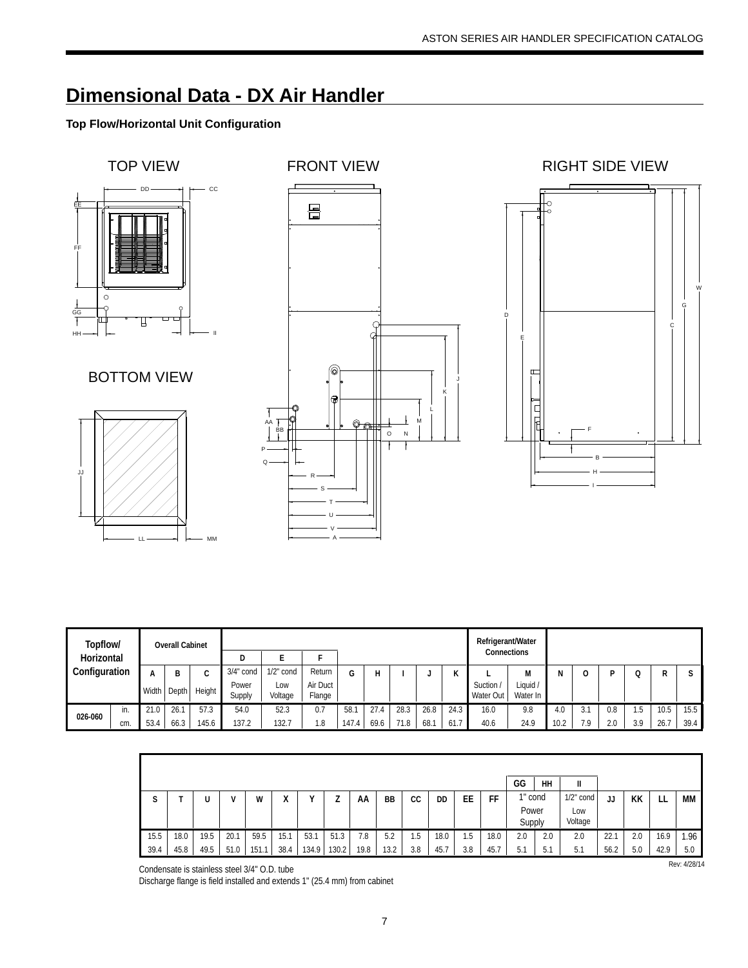## **Dimensional Data - DX Air Handler**

### **Top Flow/Horizontal Unit Configuration**



| Topflow/      |     |       | <b>Overall Cabinet</b> |        |                 |                |                    |       |      |      |      |        | Refrigerant/Water<br>Connections |                      |      |     |     |     |      |      |
|---------------|-----|-------|------------------------|--------|-----------------|----------------|--------------------|-------|------|------|------|--------|----------------------------------|----------------------|------|-----|-----|-----|------|------|
| Horizontal    |     |       |                        |        |                 |                |                    |       |      |      |      |        |                                  |                      |      |     |     |     |      |      |
| Configuration |     | А     | В                      | ◠<br>◡ | $3/4$ " cond    | $1/2$ " cond   | Return             | G     |      |      |      | v<br>N |                                  | M                    | N    |     | D   |     | R    | C    |
|               |     | Width | Depth                  | Height | Power<br>Supply | Low<br>Voltage | Air Duct<br>Flange |       |      |      |      |        | Suction<br>Water Out             | Liquid /<br>Water In |      |     |     |     |      |      |
|               | in. | 21.0  | 26.1                   | 57.3   | 54.0            | 52.3           | 0.7                | 58.7  | 27.4 | 28.3 | 26.8 | 24.3   | 16.0                             | 9.8                  | 4.0  | 3.1 | 0.8 | 1.5 | 10.5 | 15.5 |
| 026-060       | cm. | 53.4  | 66.3                   | 145.6  | 137.2           | 132.7          | 0.1                | 147.4 | 69.6 | 71.8 | 68.7 | 61.7   | 40.6                             | 24.9                 | 10.2 | 7.9 | 2.0 | 3.9 | 26.7 | 39.4 |

|      |      |      |      |       |                  |       |       |      |      |      |      |     |      | GG         | HH  | Ш            |      |     |      |      |
|------|------|------|------|-------|------------------|-------|-------|------|------|------|------|-----|------|------------|-----|--------------|------|-----|------|------|
| ໋    |      |      | v    | W     | $\mathbf v$<br>∧ |       |       | AA   | BB   | СC   | DD   | EE  | FF   | 1" cond    |     | $1/2$ " cond | JJ   | КK  | LL   | МM   |
|      |      |      |      |       |                  |       |       |      |      |      |      |     |      | Power      |     | Low          |      |     |      |      |
|      |      |      |      |       |                  |       |       |      |      |      |      |     |      | Supply     |     | Voltage      |      |     |      |      |
| 15.5 | 18.0 | 19.5 | 20.1 | 59.5  | 15.1             | 53.1  | 51.3  | 7.8  | 5.2  | 5. ا | 18.0 | 1.5 | 18.0 | 2.0        | 2.0 | 2.0          | 22.1 | 2.0 | 16.9 | 1.96 |
| 39.4 | 45.8 | 49.5 | 51.0 | 151.7 | 38.4             | 134.9 | 130.2 | 19.8 | 13.2 | 3.8  | 45.7 | 3.8 | 45.  | ь, і<br>J. | 5.1 | 5.1          | 56.2 | 5.0 | 42.9 | 5.0  |

Condensate is stainless steel 3/4" O.D. tube

Discharge flange is field installed and extends 1" (25.4 mm) from cabinet

Rev: 4/28/14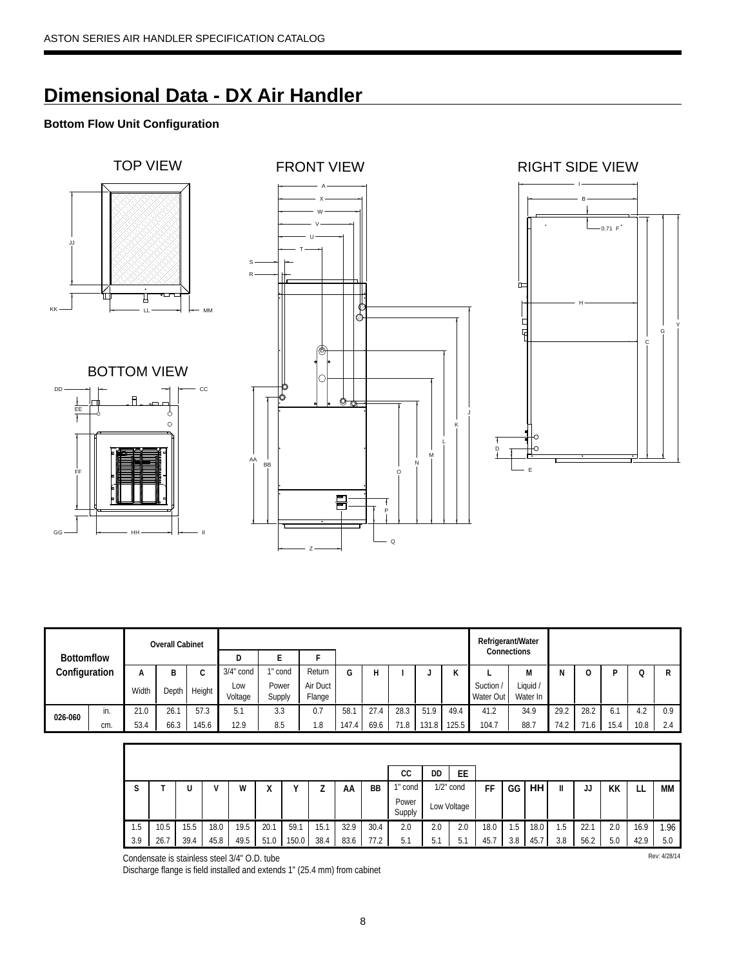## **Dimensional Data - DX Air Handler**

### **Bottom Flow Unit Configuration**



## BOTTOM VIEW







|               |       |       | <b>Overall Cabinet</b> |                |                 |                    |        |       |      |      |       |                        | Refrigerant/Water  |      |      |      |      |      |     |
|---------------|-------|-------|------------------------|----------------|-----------------|--------------------|--------|-------|------|------|-------|------------------------|--------------------|------|------|------|------|------|-----|
| Bottomflow    |       |       |                        |                | D               |                    |        |       |      |      |       |                        | Connections        |      |      |      |      |      |     |
|               |       | А     | В                      | ⌒              | $3/4$ " cond    | cond               | Return | G     |      |      |       | $\mathbf{r}$<br>N      |                    | м    |      |      |      | Q    | R   |
| Configuration | Width | Depth | Height                 | Low<br>Voltage | Power<br>Supply | Air Duct<br>Flange |        |       |      |      |       | Suction /<br>Water Out | Liquid<br>Water In |      |      |      |      |      |     |
| 026-060       | in.   | 21.0  | 26.1                   | 57.3           | 5.1             | 3.3                | 0.7    | 58.1  | 27.4 | 28.3 | 51.9  | 49.4                   | 41.2               | 34.9 | 29.2 | 28.2 | -1   | 4.2  | 0.9 |
|               | cm.   | 53.4  | 66.3                   | 145.6          | 12.9            | 8.5                | l.8    | 147.4 | 69.6 | 71.8 | 131.8 | 125.5                  | 104.7              | 88.7 | 74.2 | 71.6 | 15.4 | 10.8 | 2.4 |

|             |      |      |      |      |        |       |      |      |           | СC              | DD  | EE           |      |     |      |     |      |     |      |     |
|-------------|------|------|------|------|--------|-------|------|------|-----------|-----------------|-----|--------------|------|-----|------|-----|------|-----|------|-----|
| $\sim$<br>э |      |      |      | W    | v<br>Λ |       |      | AA   | <b>BB</b> | cond            |     | $1/2$ " cond | FF   | GG  | HH   |     | JJ   | KK  | ᄔ    | МM  |
|             |      |      |      |      |        |       |      |      |           | Power<br>Supply |     | Low Voltage  |      |     |      |     |      |     |      |     |
| 1.5         | 10.5 | 15.5 | 18.0 | 19.5 | 20.1   | 59.7  | 15.  | 32.9 | 30.4      | 2.0             | 2.0 | 2.0          | 18.0 | .b  | 18.0 | l.5 | 22.7 | 2.0 | 16.9 | .96 |
| 3.9         | 26.7 | 39.4 | 45.8 | 49.5 | 51.0   | 150.0 | 38.4 | 83.6 | 77.2      | 5.1             | 5.1 | 5.1          | 45.  | 3.8 | 45.  | 3.8 | 56.2 | 5.0 | 42.9 | 5.0 |

Condensate is stainless steel 3/4" O.D. tube Rev: 4/28/14

Discharge flange is field installed and extends 1" (25.4 mm) from cabinet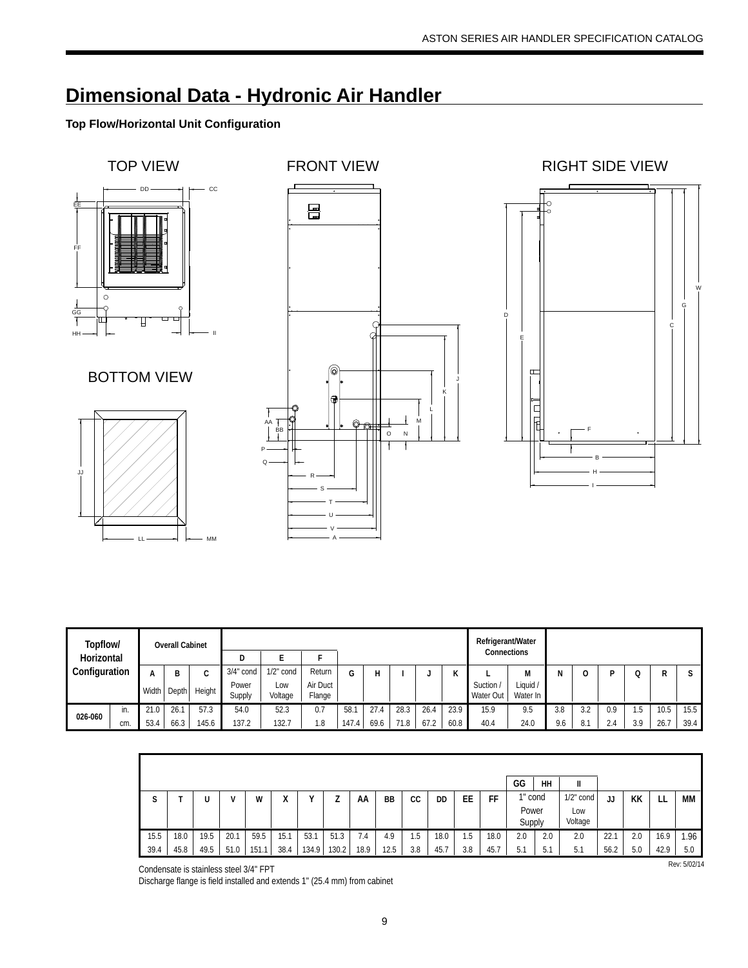# **Dimensional Data - Hydronic Air Handler**

## **Top Flow/Horizontal Unit Configuration**



| Topflow/      |     |       | <b>Overall Cabinet</b> |        |                 |                |                    |       |      |      |      |              | Refrigerant/Water    |                      |     |     |     |     |      |      |
|---------------|-----|-------|------------------------|--------|-----------------|----------------|--------------------|-------|------|------|------|--------------|----------------------|----------------------|-----|-----|-----|-----|------|------|
| Horizontal    |     |       |                        |        | D               |                |                    |       |      |      |      |              | Connections          |                      |     |     |     |     |      |      |
| Configuration |     |       | D                      | ◠<br>◡ | $3/4"$ cond     | $1/2$ " cond   | Return             | G     |      |      |      | $\mathbf{r}$ |                      | M                    |     |     | D   |     | R    |      |
|               |     | Width | Depth                  | Height | Power<br>Supply | Low<br>Voltage | Air Duct<br>Flange |       |      |      |      |              | Suction<br>Water Out | Liquid /<br>Water In |     |     |     |     |      |      |
| 026-060       | in. | 21.0  | 26.1                   | 57.3   | 54.0            | 52.3           | 0.7                | 58.1  | 27.4 | 28.3 | 26.4 | 23.9         | 15.9                 | 9.5                  | 3.8 | 3)  | 0.9 | l.b | 10.5 | 15.5 |
|               | cm. | 53.4  | 66.3                   | 145.6  | 137.2           | 132.7          | i.8                | 147.4 | 69.6 | 71.8 | 67.2 | 60.8         | 40.4                 | 24.0                 | 9.6 | 8.1 | 2.4 | 3.9 | 26.7 | 39.4 |

|      |      |      |      |      |        |       |       |      |      |     |      |     |      | GG              | HH  | Ш              |      |     |      |     |
|------|------|------|------|------|--------|-------|-------|------|------|-----|------|-----|------|-----------------|-----|----------------|------|-----|------|-----|
| a    |      |      |      | W    | v<br>Λ |       | ∸     | AA   | BB   | СC  | DD   | ЕE  | FF   | 1" cond         |     | $1/2$ " cond   | JJ   | KK  |      | МM  |
|      |      |      |      |      |        |       |       |      |      |     |      |     |      | Power<br>Supply |     | Low<br>Voltage |      |     |      |     |
| 15.5 | 18.0 | 19.5 | 20.1 | 59.5 | 15.1   | 53.1  | 51.3  | 7.4  | 4.9  | 1.5 | 18.0 | .5  | 18.0 | 2.0             | 2.0 | 2.0            | 22.7 | 2.0 | 16.9 | .96 |
| 39.4 | 45.8 | 49.5 | 51.0 | 151. | 38.4   | 134.9 | 130.2 | 18.9 | 12.5 | 3.8 | 45.7 | 3.8 | 45.  | ь.<br>IJ.       | 5.1 | 5.1            | 56.2 | 5.0 | 42.9 | 5.0 |

Condensate is stainless steel 3/4" FPT

Discharge flange is field installed and extends 1" (25.4 mm) from cabinet

Rev: 5/02/14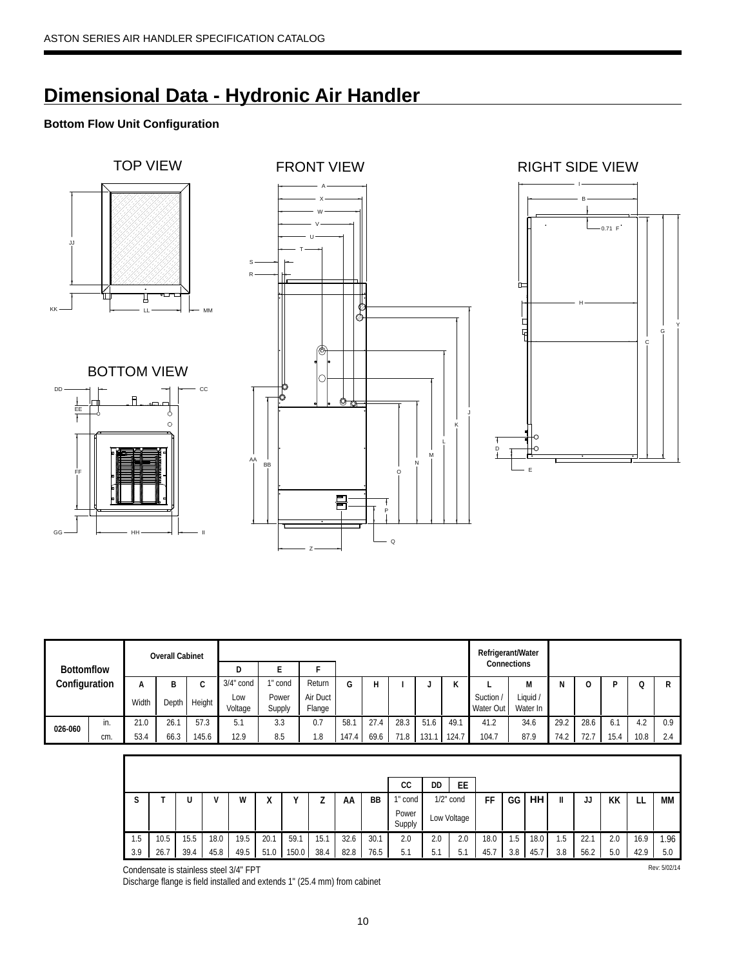# **Dimensional Data - Hydronic Air Handler**

## **Bottom Flow Unit Configuration**





CC

DD







|                   |                                 |       | <b>Overall Cabinet</b> |        |                |                 |                    |       |      |      |      |                   | Refrigerant/Water<br>Connections |                      |      |      |      |      |     |
|-------------------|---------------------------------|-------|------------------------|--------|----------------|-----------------|--------------------|-------|------|------|------|-------------------|----------------------------------|----------------------|------|------|------|------|-----|
| <b>Bottomflow</b> |                                 |       |                        |        | D              |                 |                    |       |      |      |      |                   |                                  |                      |      |      |      |      |     |
|                   |                                 | А     |                        | C      | $3/4$ " cond   | cond            | Return             | G     | Н    |      |      | $\mathbf{r}$<br>N |                                  | M                    | N    |      |      |      |     |
|                   |                                 | Width | Depth                  | Height | Low<br>Voltage | Power<br>Supply | Air Duct<br>Flange |       |      |      |      |                   | Suction /<br>Water Out           | Liquid /<br>Water In |      |      |      |      |     |
|                   | in.                             | 21.0  | 26.1                   | 57.3   | 5.1            | 3.3             | 0.7                | 58.1  | 27.4 | 28.3 | 51.6 | 49.1              | 41.2                             | 34.6                 | 29.2 | 28.6 | 6.,  | 4.2  | 0.9 |
|                   | Configuration<br>026-060<br>cm. |       | 66.3                   | 145.6  | 12.9           | 8.5             | 1.8                | 147.4 | 69.6 | 71.8 | 131  | 124.7             | 104.7                            | 87.9                 | 74.2 | 72.7 | 15.4 | 10.8 | 2.4 |

|             |      |      |      |      |                   |       |      |      |      | СC              | DD  | EE           |      |     |      |     |      |     |      |     |
|-------------|------|------|------|------|-------------------|-------|------|------|------|-----------------|-----|--------------|------|-----|------|-----|------|-----|------|-----|
| $\sim$<br>C |      |      |      | W    | $\mathbf{v}$<br>Λ |       |      | ΑА   | BB   | cond            |     | $1/2$ " cond | FF   | GG  | HH   | II  | JJ   | КK  |      | МM  |
|             |      |      |      |      |                   |       |      |      |      | Power<br>Supply |     | ∟ow Voltage  |      |     |      |     |      |     |      |     |
| 1.5         | 10.5 | 5.5  | 18.0 | 19.5 | 20.7              | 59.1  | 15.1 | 32.6 | 30.1 | 2.0             | 2.0 | 2.0          | 18.0 | 1.5 | 18.0 | 1.5 | 22.7 | 2.0 | 16.9 | .96 |
| 3.9         | 26.7 | 39.4 | 45.8 | 49.5 | 51.0              | 150.0 | 38.4 | 82.8 | 76.5 | 5.1             | 5.1 | h<br>J.      | 45.  | 3.8 | 45.7 | 3.8 | 56.2 | 5.0 | 42.9 | 5.0 |

Condensate is stainless steel 3/4" FPT Rev: 5/02/14

Discharge flange is field installed and extends 1" (25.4 mm) from cabinet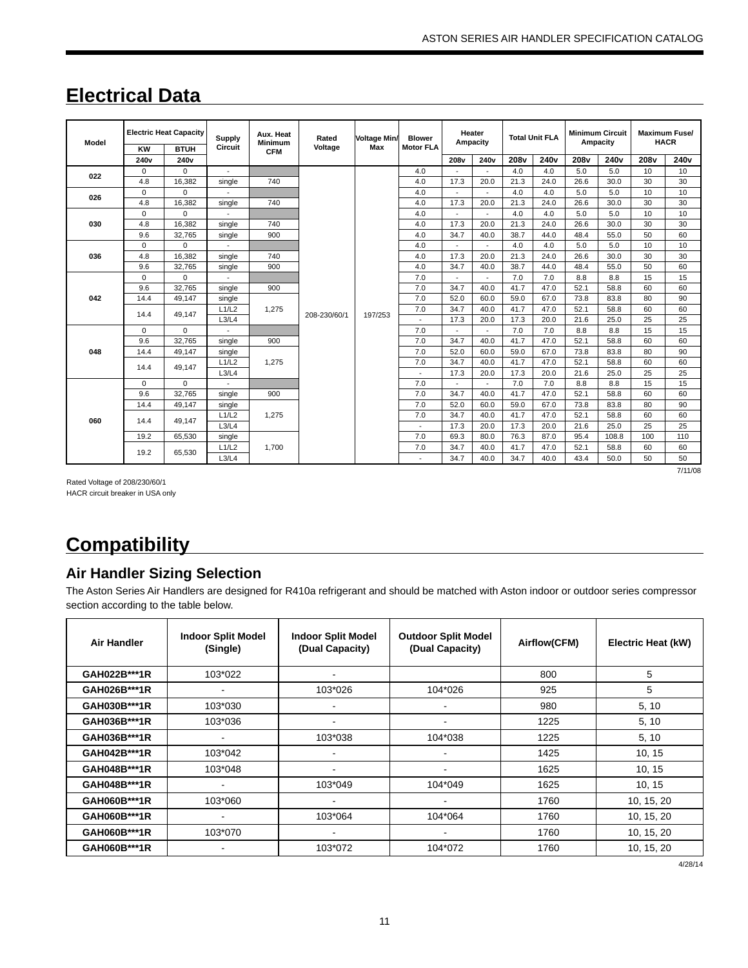# **Electrical Data**

| Model | KW               | <b>Electric Heat Capacity</b><br><b>BTUH</b> | <b>Supply</b><br>Circuit | Aux. Heat<br><b>Minimum</b><br><b>CFM</b> | Rated<br>Voltage | <b>Voltage Min/</b><br>Max | <b>Blower</b><br><b>Motor FLA</b> | Heater<br>Ampacity |                          |                  | <b>Total Unit FLA</b> | <b>Minimum Circuit</b><br>Ampacity |                  |                  | <b>Maximum Fuse/</b><br><b>HACR</b> |
|-------|------------------|----------------------------------------------|--------------------------|-------------------------------------------|------------------|----------------------------|-----------------------------------|--------------------|--------------------------|------------------|-----------------------|------------------------------------|------------------|------------------|-------------------------------------|
|       | 240 <sub>v</sub> | 240 <sub>v</sub>                             |                          |                                           |                  |                            |                                   | 208 <sub>v</sub>   | 240 <sub>v</sub>         | 208 <sub>v</sub> | 240 <sub>v</sub>      | 208 <sub>v</sub>                   | 240 <sub>v</sub> | 208 <sub>v</sub> | 240 <sub>v</sub>                    |
| 022   | 0                | $\Omega$                                     |                          |                                           |                  |                            | 4.0                               |                    |                          | 4.0              | 4.0                   | 5.0                                | 5.0              | 10               | 10                                  |
|       | 4.8              | 16,382                                       | single                   | 740                                       |                  |                            | 4.0                               | 17.3               | 20.0                     | 21.3             | 24.0                  | 26.6                               | 30.0             | 30               | 30                                  |
| 026   | 0                | $\Omega$                                     |                          |                                           |                  |                            | 4.0                               | ٠                  |                          | 4.0              | 4.0                   | 5.0                                | 5.0              | 10               | 10                                  |
|       | 4.8              | 16.382                                       | single                   | 740                                       |                  |                            | 4.0                               | 17.3               | 20.0                     | 21.3             | 24.0                  | 26.6                               | 30.0             | 30               | 30                                  |
|       | 0                | $\Omega$                                     |                          |                                           |                  |                            | 4.0                               |                    |                          | 4.0              | 4.0                   | 5.0                                | 5.0              | 10               | 10                                  |
| 030   | 4.8              | 16,382                                       | single                   | 740                                       |                  |                            | 4.0                               | 17.3               | 20.0                     | 21.3             | 24.0                  | 26.6                               | 30.0             | 30               | 30                                  |
|       | 9.6              | 32,765                                       | single                   | 900                                       |                  |                            | 4.0                               | 34.7               | 40.0                     | 38.7             | 44.0                  | 48.4                               | 55.0             | 50               | 60                                  |
|       | $\Omega$         | $\Omega$                                     |                          |                                           |                  |                            | 4.0                               | $\sim$             | $\overline{\phantom{a}}$ | 4.0              | 4.0                   | 5.0                                | 5.0              | 10               | 10                                  |
| 036   | 4.8              | 16,382                                       | single                   | 740                                       |                  |                            | 4.0                               | 17.3               | 20.0                     | 21.3             | 24.0                  | 26.6                               | 30.0             | 30               | 30                                  |
|       | 9.6              | 32,765                                       | single                   | 900                                       |                  |                            | 4.0                               | 34.7               | 40.0                     | 38.7             | 44.0                  | 48.4                               | 55.0             | 50               | 60                                  |
|       | $\Omega$         | $\Omega$                                     |                          |                                           |                  |                            | 7.0                               |                    |                          | 7.0              | 7.0                   | 8.8                                | 8.8              | 15               | 15                                  |
|       | 9.6              | 32.765                                       | single                   | 900                                       |                  |                            | 7.0                               | 34.7               | 40.0                     | 41.7             | 47.0                  | 52.1                               | 58.8             | 60               | 60                                  |
| 042   | 14.4             | 49.147                                       | single                   |                                           |                  |                            | 7.0                               | 52.0               | 60.0                     | 59.0             | 67.0                  | 73.8                               | 83.8             | 80               | 90                                  |
|       | 14.4             | 49.147                                       | L1/L2                    | 1,275                                     | 208-230/60/1     | 197/253                    | 7.0                               | 34.7               | 40.0                     | 41.7             | 47.0                  | 52.1                               | 58.8             | 60               | 60                                  |
|       |                  |                                              | L3/L4                    |                                           |                  |                            |                                   | 17.3               | 20.0                     | 17.3             | 20.0                  | 21.6                               | 25.0             | 25               | 25                                  |
|       | $\Omega$         | $\Omega$                                     |                          |                                           |                  |                            | 7.0                               |                    | $\overline{a}$           | 7.0              | 7.0                   | 8.8                                | 8.8              | 15               | 15                                  |
|       | 9.6              | 32.765                                       | single                   | 900                                       |                  |                            | 7.0                               | 34.7               | 40.0                     | 41.7             | 47.0                  | 52.1                               | 58.8             | 60               | 60                                  |
| 048   | 14.4             | 49,147                                       | single                   |                                           |                  |                            | 7.0                               | 52.0               | 60.0                     | 59.0             | 67.0                  | 73.8                               | 83.8             | 80               | 90                                  |
|       | 14.4             | 49.147                                       | L1/L2                    | 1,275                                     |                  |                            | 7.0                               | 34.7               | 40.0                     | 41.7             | 47.0                  | 52.1                               | 58.8             | 60               | 60                                  |
|       |                  |                                              | L3/L4                    |                                           |                  |                            | $\overline{a}$                    | 17.3               | 20.0                     | 17.3             | 20.0                  | 21.6                               | 25.0             | 25               | 25                                  |
|       | $\Omega$         | $\Omega$                                     |                          |                                           |                  |                            | 7.0                               | $\overline{a}$     | $\overline{a}$           | 7.0              | 7.0                   | 8.8                                | 8.8              | 15               | 15                                  |
|       | 9.6              | 32,765                                       | single                   | 900                                       |                  |                            | 7.0                               | 34.7               | 40.0                     | 41.7             | 47.0                  | 52.1                               | 58.8             | 60               | 60                                  |
|       | 14.4             | 49,147                                       | single                   |                                           |                  |                            | 7.0                               | 52.0               | 60.0                     | 59.0             | 67.0                  | 73.8                               | 83.8             | 80               | 90                                  |
|       | 14.4             | 49.147                                       | L1/L2                    | 1,275                                     |                  |                            | 7.0                               | 34.7               | 40.0                     | 41.7             | 47.0                  | 52.1                               | 58.8             | 60               | 60                                  |
| 060   |                  |                                              | L3/L4                    |                                           |                  |                            | $\overline{a}$                    | 17.3               | 20.0                     | 17.3             | 20.0                  | 21.6                               | 25.0             | 25               | 25                                  |
|       | 19.2             | 65,530                                       | single                   |                                           |                  |                            | 7.0                               | 69.3               | 80.0                     | 76.3             | 87.0                  | 95.4                               | 108.8            | 100              | 110                                 |
|       | 19.2             | 65,530                                       | L1/L2                    | 1,700                                     |                  |                            | 7.0                               | 34.7               | 40.0                     | 41.7             | 47.0                  | 52.1                               | 58.8             | 60               | 60                                  |
|       |                  |                                              | L3/L4                    |                                           |                  |                            |                                   | 34.7               | 40.0                     | 34.7             | 40.0                  | 43.4                               | 50.0             | 50               | 50                                  |
|       |                  |                                              |                          |                                           |                  |                            |                                   |                    |                          |                  |                       |                                    |                  |                  | 7/11/08                             |

Rated Voltage of 208/230/60/1 HACR circuit breaker in USA only

# **Compatibility**

## **Air Handler Sizing Selection**

The Aston Series Air Handlers are designed for R410a refrigerant and should be matched with Aston indoor or outdoor series compressor section according to the table below.

| <b>Air Handler</b> | <b>Indoor Split Model</b><br>(Single) | <b>Indoor Split Model</b><br>(Dual Capacity) | <b>Outdoor Split Model</b><br>(Dual Capacity) | Airflow(CFM) | Electric Heat (kW) |
|--------------------|---------------------------------------|----------------------------------------------|-----------------------------------------------|--------------|--------------------|
| GAH022B***1R       | 103*022                               | $\blacksquare$                               |                                               | 800          | 5                  |
| GAH026B***1R       | $\blacksquare$                        | 103*026                                      | 104*026                                       | 925          | 5                  |
| GAH030B***1R       | 103*030                               |                                              | $\overline{\phantom{0}}$                      | 980          | 5, 10              |
| GAH036B***1R       | 103*036                               |                                              | $\overline{\phantom{a}}$                      | 1225         | 5, 10              |
| GAH036B***1R       | $\overline{\phantom{a}}$              | 103*038                                      | 104*038                                       | 1225         | 5, 10              |
| GAH042B***1R       | 103*042                               |                                              | $\overline{\phantom{a}}$                      | 1425         | 10, 15             |
| GAH048B***1R       | 103*048                               |                                              |                                               | 1625         | 10, 15             |
| GAH048B***1R       | $\blacksquare$                        | 103*049                                      | 104*049                                       | 1625         | 10, 15             |
| GAH060B***1R       | 103*060                               |                                              |                                               | 1760         | 10, 15, 20         |
| GAH060B***1R       | $\overline{\phantom{a}}$              | 103*064                                      | 104*064                                       | 1760         | 10, 15, 20         |
| GAH060B***1R       | 103*070                               | $\blacksquare$                               |                                               | 1760         | 10, 15, 20         |
| GAH060B***1R       | $\overline{\phantom{a}}$              | 103*072                                      | 104*072                                       | 1760         | 10, 15, 20         |

4/28/14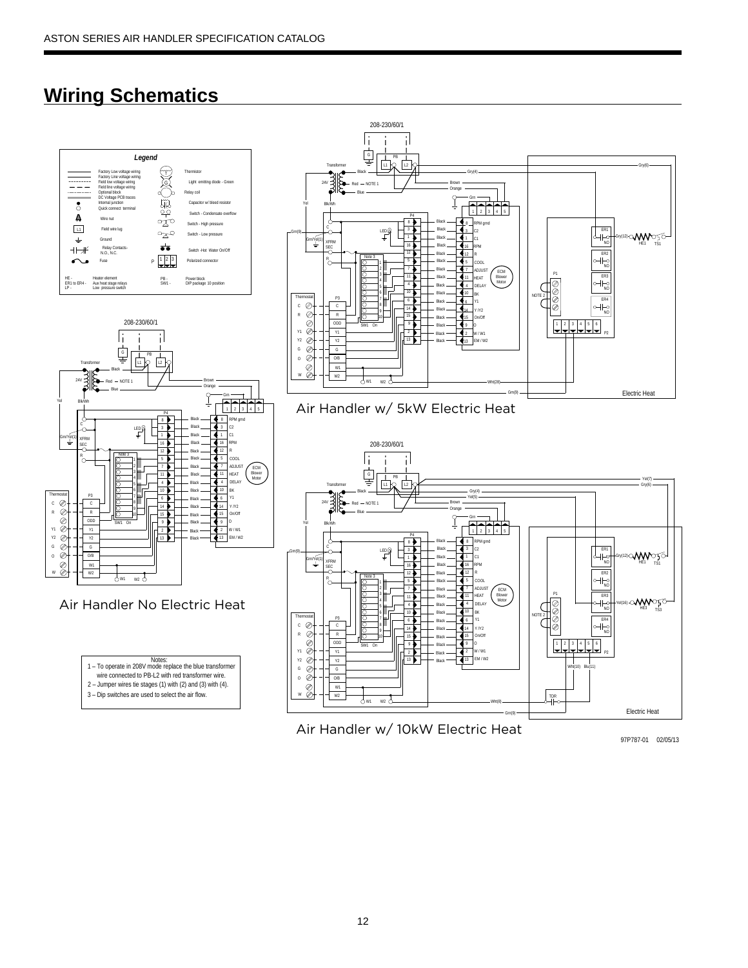# **Wiring Schematics**



Air Handler w/ 10kW Electric Heat

97P787-01 02/05/13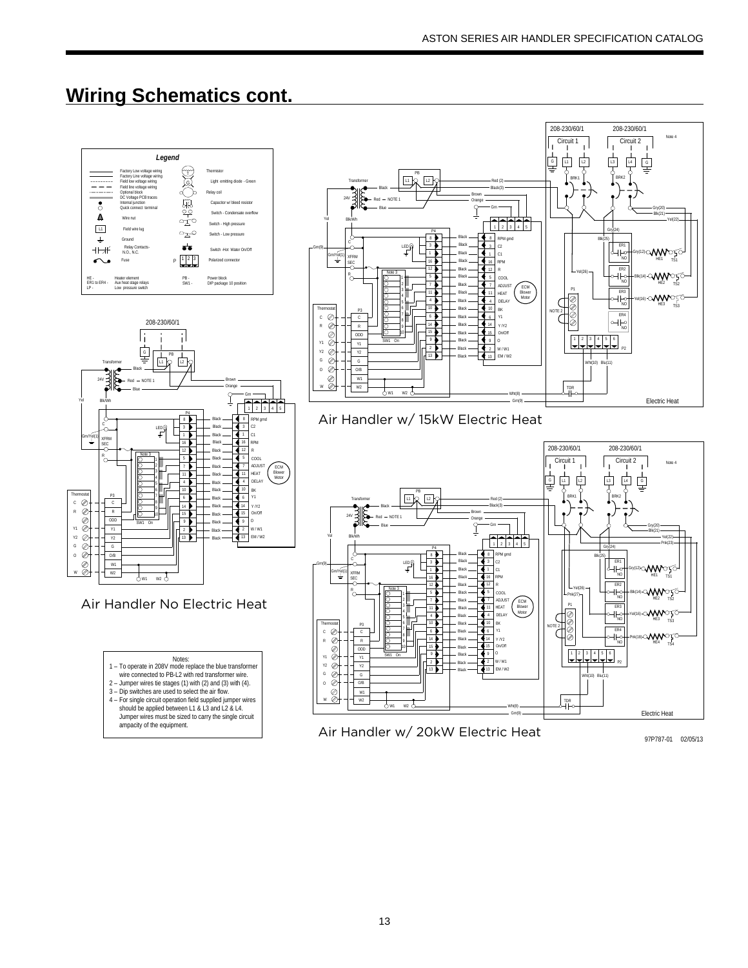## **Wiring Schematics cont.**

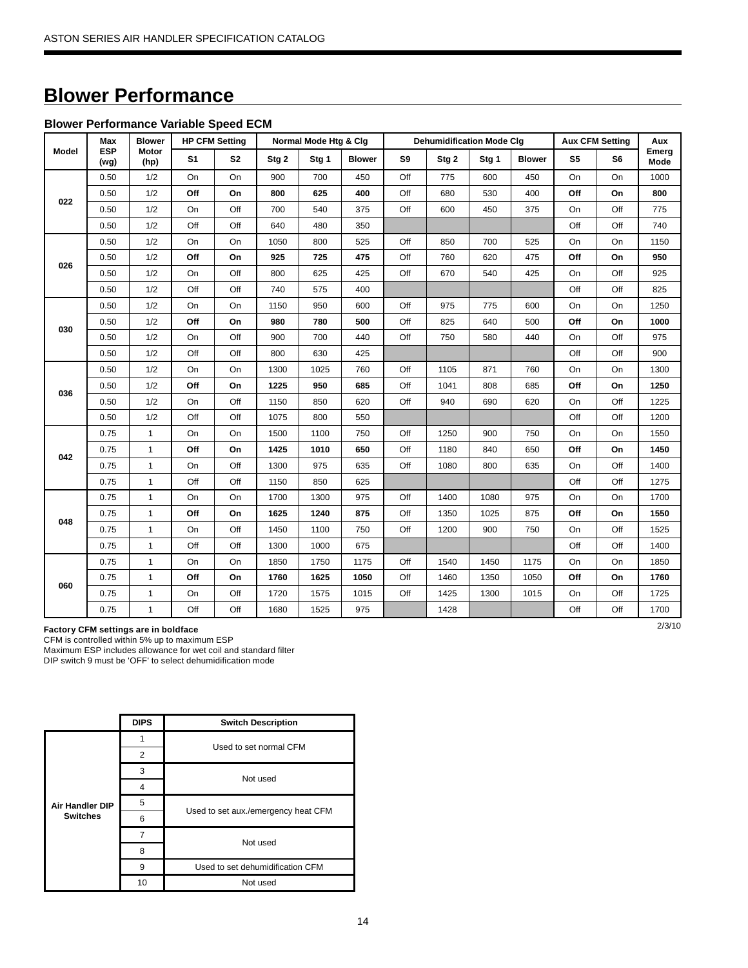# **Blower Performance**

#### **Blower Performance Variable Speed ECM**

|       | Max                | <b>Blower</b> |                | <b>HP CFM Setting</b> |       | Normal Mode Htg & Clg |               |     | <b>Dehumidification Mode Clg</b> |       |               |                | <b>Aux CFM Setting</b> | Aux           |
|-------|--------------------|---------------|----------------|-----------------------|-------|-----------------------|---------------|-----|----------------------------------|-------|---------------|----------------|------------------------|---------------|
| Model | <b>ESP</b><br>(wg) | Motor<br>(hp) | S <sub>1</sub> | S <sub>2</sub>        | Stg 2 | Stg <sub>1</sub>      | <b>Blower</b> | S9  | Stg <sub>2</sub>                 | Stg 1 | <b>Blower</b> | S <sub>5</sub> | S6                     | Emerg<br>Mode |
|       | 0.50               | 1/2           | On             | O <sub>n</sub>        | 900   | 700                   | 450           | Off | 775                              | 600   | 450           | <b>On</b>      | On                     | 1000          |
| 022   | 0.50               | 1/2           | Off            | On                    | 800   | 625                   | 400           | Off | 680                              | 530   | 400           | Off            | On                     | 800           |
|       | 0.50               | 1/2           | On             | Off                   | 700   | 540                   | 375           | Off | 600                              | 450   | 375           | On             | Off                    | 775           |
|       | 0.50               | 1/2           | Off            | Off                   | 640   | 480                   | 350           |     |                                  |       |               | Off            | Off                    | 740           |
|       | 0.50               | 1/2           | On             | On                    | 1050  | 800                   | 525           | Off | 850                              | 700   | 525           | On             | On                     | 1150          |
| 026   | 0.50               | 1/2           | Off            | On                    | 925   | 725                   | 475           | Off | 760                              | 620   | 475           | Off            | On                     | 950           |
|       | 0.50               | 1/2           | On             | Off                   | 800   | 625                   | 425           | Off | 670                              | 540   | 425           | On             | Off                    | 925           |
|       | 0.50               | 1/2           | Off            | Off                   | 740   | 575                   | 400           |     |                                  |       |               | Off            | Off                    | 825           |
|       | 0.50               | 1/2           | On             | On                    | 1150  | 950                   | 600           | Off | 975                              | 775   | 600           | On             | On                     | 1250          |
| 030   | 0.50               | 1/2           | Off            | On                    | 980   | 780                   | 500           | Off | 825                              | 640   | 500           | Off            | On                     | 1000          |
|       | 0.50               | 1/2           | On             | Off                   | 900   | 700                   | 440           | Off | 750                              | 580   | 440           | On             | Off                    | 975           |
|       | 0.50               | 1/2           | Off            | Off                   | 800   | 630                   | 425           |     |                                  |       |               | Off            | Off                    | 900           |
|       | 0.50               | 1/2           | On             | On                    | 1300  | 1025                  | 760           | Off | 1105                             | 871   | 760           | On             | On                     | 1300          |
| 036   | 0.50               | 1/2           | Off            | On                    | 1225  | 950                   | 685           | Off | 1041                             | 808   | 685           | Off            | On                     | 1250          |
|       | 0.50               | 1/2           | On             | Off                   | 1150  | 850                   | 620           | Off | 940                              | 690   | 620           | On             | Off                    | 1225          |
|       | 0.50               | 1/2           | Off            | Off                   | 1075  | 800                   | 550           |     |                                  |       |               | Off            | Off                    | 1200          |
|       | 0.75               | $\mathbf{1}$  | On             | On                    | 1500  | 1100                  | 750           | Off | 1250                             | 900   | 750           | On             | On                     | 1550          |
| 042   | 0.75               | $\mathbf{1}$  | Off            | On                    | 1425  | 1010                  | 650           | Off | 1180                             | 840   | 650           | Off            | On                     | 1450          |
|       | 0.75               | $\mathbf{1}$  | On             | Off                   | 1300  | 975                   | 635           | Off | 1080                             | 800   | 635           | On             | Off                    | 1400          |
|       | 0.75               | $\mathbf{1}$  | Off            | Off                   | 1150  | 850                   | 625           |     |                                  |       |               | Off            | Off                    | 1275          |
|       | 0.75               | $\mathbf{1}$  | On             | On                    | 1700  | 1300                  | 975           | Off | 1400                             | 1080  | 975           | On             | On                     | 1700          |
| 048   | 0.75               | 1             | Off            | On                    | 1625  | 1240                  | 875           | Off | 1350                             | 1025  | 875           | Off            | On                     | 1550          |
|       | 0.75               | $\mathbf{1}$  | On             | Off                   | 1450  | 1100                  | 750           | Off | 1200                             | 900   | 750           | On             | Off                    | 1525          |
|       | 0.75               | 1             | Off            | Off                   | 1300  | 1000                  | 675           |     |                                  |       |               | Off            | Off                    | 1400          |
|       | 0.75               | 1             | On             | On                    | 1850  | 1750                  | 1175          | Off | 1540                             | 1450  | 1175          | On             | On                     | 1850          |
| 060   | 0.75               | $\mathbf{1}$  | Off            | On                    | 1760  | 1625                  | 1050          | Off | 1460                             | 1350  | 1050          | Off            | On                     | 1760          |
|       | 0.75               | $\mathbf{1}$  | On             | Off                   | 1720  | 1575                  | 1015          | Off | 1425                             | 1300  | 1015          | On             | Off                    | 1725          |
|       | 0.75               | $\mathbf{1}$  | Off            | Off                   | 1680  | 1525                  | 975           |     | 1428                             |       |               | Off            | Off                    | 1700          |

2/3/10 **Factory CFM settings are in boldface**

CFM is controlled within 5% up to maximum ESP Maximum ESP includes allowance for wet coil and standard filter

DIP switch 9 must be 'OFF' to select dehumidification mode

|                        | <b>DIPS</b>             | <b>Switch Description</b>           |
|------------------------|-------------------------|-------------------------------------|
|                        |                         | Used to set normal CFM              |
|                        | 2                       |                                     |
|                        | 3                       | Not used                            |
|                        | $\overline{\mathbf{4}}$ |                                     |
| <b>Air Handler DIP</b> | 5                       | Used to set aux./emergency heat CFM |
| <b>Switches</b>        | 6                       |                                     |
|                        | 7                       | Not used                            |
|                        | 8                       |                                     |
|                        | 9                       | Used to set dehumidification CFM    |
|                        | 10                      | Not used                            |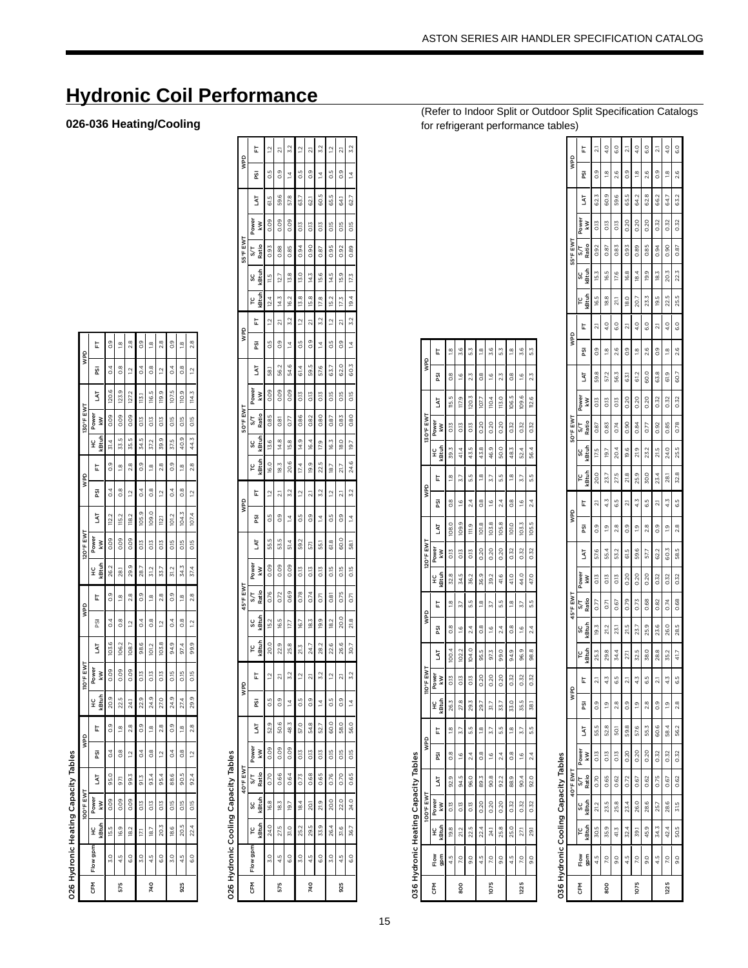|                               | L             | $\frac{0}{2}$    | $\frac{8}{1}$  | $\frac{8}{2}$   | 0.9              | $\frac{8}{1}$  | 2.8             | 0.9              | $\frac{8}{1}$ | 2.8             |
|-------------------------------|---------------|------------------|----------------|-----------------|------------------|----------------|-----------------|------------------|---------------|-----------------|
| QdW                           | ត្ត           | $\overline{0.4}$ | $\frac{8}{2}$  | $\overline{a}$  | 0.4              | $\frac{8}{2}$  | $\overline{a}$  | 0.4              | 8<br>O        | $\ddot{5}$      |
|                               | Ę             | 20.6             | 123.9          | 127.2           | is.              | 116.5          | 119.9           | 107.5            | 110.9         | 114.3           |
| 130°F EWT                     | Power<br>₹    | 0.09             | 0.09           | 0.09            | 0.13             | 0.13           | 0.13            | 0.15             | 0.15          | o.15            |
|                               | ś<br>ā<br>잎   | $\frac{4}{5}$    | 33.5           | 35.5            | 34.5             | 37.2           | 39.9            | 37.5             | 40.9          | 44.3            |
| gaw                           | E             | $\frac{0}{0}$    | $\frac{8}{10}$ | $\frac{8}{2}$   | 03               | $\frac{8}{10}$ | $^{2.8}$        | 03               | œ             | $\frac{8}{2}$   |
|                               | ន្ទ្រ         | $\overline{0.4}$ | 8.             | $\overline{12}$ | $\overline{0}$   | 8.             | $\overline{12}$ | $\ddot{\circ}$   | œ.            | $\overline{12}$ |
|                               | 5             | 112.2            | <b>115.2</b>   | 18.2            | 105.9            | 109.0          | .<br>≌          | 101.2            | 104.3         | 1074            |
| 120°F EWT                     | Power<br>₹    | 0.09             | 0.09           | 0.09            | 0.13             | 0.13           | 0.13            | 0.15             | 0.15          | 0.15            |
|                               | kBtuh<br>잎    | 26.2             | .<br>81        | 29.9            | ä                | 31.2           | 33.7            | 31.2             | 34.3          | 37.4            |
|                               | t             | $\frac{0}{0}$    | $\frac{8}{16}$ | 28              | 0.9              | $\frac{8}{10}$ | $\frac{8}{24}$  | 03               | ë             | $\frac{8}{24}$  |
| gaw                           | ត្ត           | $\sim$           | $\frac{8}{2}$  | $\overline{a}$  | $\overline{0.4}$ | $\frac{8}{2}$  | $\overline{a}$  | $\overline{0.4}$ | 8<br>O        | $\overline{a}$  |
|                               | ZЯ            | 103.6            | 106.2          | 108.7           | 98.6             | 101.2          | 103.8           | Ō<br>э.<br>Эл    | 97.4          | 99.9            |
| <b>IIO</b> <sup>o</sup> F EWT | Power<br>₹    | 0.09             | 0.09           | 0.09            | 0.13             | O.IS           | O.I3            | 0.15             | 50            | ol5             |
|                               | atul<br>¥     | 20.9             | 22.5           | .<br>Z          | 22.9             | 24.9           | 27.0            | 24.9             | 27.4          | 29.9            |
| gaw                           | È             | $\frac{0}{2}$    | $\frac{8}{1}$  | 28              | $\frac{0}{2}$    | $\frac{8}{1}$  | 28              | $\frac{0}{2}$    | ë             | 28              |
|                               | ន្ទ្រ         | ु                | $\frac{8}{3}$  | $\overline{a}$  | उ                | $\frac{8}{3}$  | $\overline{a}$  | उँ               | 8<br>O        | $\frac{2}{3}$   |
|                               | 5             | 95.0             | 57             | 99.3            | 51.3             | 93.4           | 95.4            | 88.6             | 90.5          | 92.4            |
| 100°F EWT                     | Power<br>₹    | 0.09             | 0.09           | 0.09            | 0.13             | 0.13           | 0.13            | 0.15             | 0.15          | 0.15            |
|                               | i<br>Bid<br>¥ | 15.5             | 16.9           | 18.2            | E                | త              | 20.3            | 18.6             | 20.5          | 22.4            |
|                               | Flow gpm      | $\frac{0}{20}$   | 4.5            | G.O             | $\frac{5}{2}$    | 4.5            | co              | $\frac{5}{2}$    | 4.5           | $\frac{0}{6}$   |
|                               | EM<br>G       |                  | 575            |                 |                  | 740            |                 |                  | 925           |                 |

**Hydronic Coil Performance** 

026-036 Heating/Cooling

# 026 Hydronic Cooling Capacity Tables

| L<br>g<br>IXI<br>Powe<br>Š<br>Ratio<br>57<br>kBtuh<br>ပ္ပ<br><b>Btuh</b><br>rc<br>L | $\overline{2}$<br>o.5<br>61.5<br>0.09<br>0.93<br>15<br>12.4<br>$\tilde{a}$ | 21<br>0.9<br>59.6<br>0.09<br>0.88<br>12.7<br>14.3 | 3.2<br>$\overline{4}$<br>57.8<br>0.09<br>0.85<br>13.8 | $\overline{a}$<br>o.5<br>63<br>0.13<br>0.94 | 21<br>0.9<br>8<br>0.13 | 3.2<br>$\overline{4}$<br>60.5<br>0.13 | $\overline{a}$<br>C.5<br>65.5<br>O <sub>15</sub> | 21<br>$\frac{0}{2}$<br>54.1<br>O.I5 | <b>S.2</b><br>$\frac{1}{4}$<br>627<br><b>C15</b> |
|-------------------------------------------------------------------------------------|----------------------------------------------------------------------------|---------------------------------------------------|-------------------------------------------------------|---------------------------------------------|------------------------|---------------------------------------|--------------------------------------------------|-------------------------------------|--------------------------------------------------|
|                                                                                     |                                                                            |                                                   |                                                       |                                             |                        |                                       |                                                  |                                     |                                                  |
|                                                                                     |                                                                            |                                                   |                                                       |                                             |                        |                                       |                                                  |                                     |                                                  |
|                                                                                     |                                                                            |                                                   |                                                       |                                             |                        |                                       |                                                  |                                     |                                                  |
|                                                                                     |                                                                            |                                                   |                                                       |                                             |                        |                                       |                                                  |                                     |                                                  |
|                                                                                     |                                                                            |                                                   |                                                       |                                             | 0.90                   | 0.87                                  | 0.95                                             | 0.92                                | C 8g                                             |
|                                                                                     |                                                                            |                                                   |                                                       | $\frac{50}{2}$                              | 14.3                   | 15.6                                  | 14.5                                             | 15.9                                | 173                                              |
|                                                                                     |                                                                            |                                                   | 16.2                                                  | 13.8                                        | 15.8                   | 17.8                                  | 15.2                                             | 17.3                                | 19 <sub>4</sub>                                  |
|                                                                                     |                                                                            | ត                                                 | 3.2                                                   | $\overline{a}$                              | ត                      | 3.2                                   | $\overline{12}$                                  | ಸ                                   | <b>3.2</b>                                       |
|                                                                                     |                                                                            | 0.9                                               | $\vec{A}$                                             | o.5                                         | 0.9                    | $\overline{4}$                        | o.5                                              | $\frac{0}{2}$                       | $\frac{4}{3}$                                    |
| 5                                                                                   | 8                                                                          | 56.2                                              | 54.6                                                  | 4<br>6                                      | 59.5                   | 57.6                                  | -<br>63                                          | 62.0                                | 60 3                                             |
| Power<br>š                                                                          | 0.09                                                                       | 0.09                                              | 0.09                                                  | 0.13                                        | 0.13                   | 0.13                                  | O.15                                             | $\frac{15}{2}$                      | C <sub>15</sub>                                  |
| Ratio<br>5/T                                                                        | 0.85                                                                       | 0.81                                              | 0.77                                                  | 0.86                                        | 0.82                   | 0.80                                  | 0.87                                             | 0.83                                | n R.O                                            |
| Guh<br>SC                                                                           | 13.6                                                                       | 14.8                                              | 15.8                                                  | 14.9                                        | 16.4                   | 17.9                                  | 16.3                                             | 18.0                                | 197                                              |
| kBtuh<br>ပို                                                                        | 16.0                                                                       | 18.3                                              | 20.6                                                  | 17.4                                        | 19.9                   | 22.5                                  | 18.7                                             | 21.7                                | 24.6                                             |
| t                                                                                   | $\frac{1}{2}$                                                              | ្ត                                                | 3.2                                                   | $\overline{1}$                              | ្ត                     | 3.2                                   | $\overline{a}$                                   | ಸ                                   | <b>S.2</b>                                       |
| ត្ត                                                                                 | s.                                                                         | 03                                                | $\overline{4}$                                        | S.O                                         | 03                     | $\overline{4}$                        | C.5                                              | 0.9                                 | $\frac{1}{4}$                                    |
| 54                                                                                  | 55.5                                                                       | 53.5                                              | 51.4                                                  | 59.2                                        | 57                     | 551                                   | œ<br>6                                           | 60.0                                | 581                                              |
| Power<br>š                                                                          | 0.09                                                                       | 0.09                                              | 0.09                                                  | 0.13                                        | 0.13                   | 0.13                                  | 0.15                                             | 0.15                                | O <sub>15</sub>                                  |
| Ratio<br>5/T                                                                        | 0.76                                                                       | 0.72                                              | 0.69                                                  | 0.78                                        | 0.74                   | 671                                   | 0.81                                             | 0.75                                | n<br>C                                           |
| kBtuh<br>SC                                                                         | 15.2                                                                       | 16.5                                              | 12                                                    | 67                                          | 18.3                   | 19.9                                  | 18.2                                             | 20.0                                | 21 R                                             |
| kBtuh<br>rc                                                                         | 20.0                                                                       | 22.9                                              | 25.8                                                  | 21.3                                        | 24.7                   | 28.2                                  | 22.6                                             | 26.6                                | 30.7                                             |
| t                                                                                   | $\ddot{5}$                                                                 | ្ត                                                | 3.2                                                   | $\frac{1}{2}$                               | $\overline{21}$        | 3.2                                   | $\ddot{ }$                                       | $\overline{21}$                     | <b>3.2</b>                                       |
| g                                                                                   | S.O                                                                        | o.                                                | 4                                                     | S.O                                         | $\frac{1}{2}$          | 4                                     | <b>SO</b>                                        | $\frac{0}{0}$                       |                                                  |
| 5                                                                                   | 52.9                                                                       | 50.6                                              | 48.3                                                  | 57.0                                        | 54.8                   | 52.7                                  | 60.0                                             | 58.0                                | م<br>وو                                          |
| Power<br>kW                                                                         | 0.09                                                                       | 0.09                                              | 0.09                                                  | 0.13                                        | 0.13                   | 0.13                                  | 0.15                                             | 0.15                                | ۲ is                                             |
| Ratio                                                                               | 0.70                                                                       | 0.66                                              | 0.64                                                  | 0.73                                        | 0.68                   | 0.65                                  | 0.76                                             | 0.70                                | 065                                              |
| kBtuh<br>ပ္တ                                                                        | 16.8                                                                       | 18.3                                              | 19.7                                                  | 18.4                                        | $\overline{5}$         | 21.9                                  | 20.0                                             | 22.0                                | 240                                              |
| (Btuh<br>ပု                                                                         | 24.0                                                                       | 27.5                                              | $\frac{0}{21}$                                        | 25.2                                        | 29.5                   | 33.9                                  | 26.4                                             | 31.6                                | 36.7                                             |
| 50<br>Flow                                                                          | 3.0                                                                        | 4.5                                               | G.O                                                   | $\frac{0}{2}$                               | 4.5                    | co                                    | 3.0                                              | 4.5                                 | ç                                                |
| 좂                                                                                   |                                                                            | 575                                               |                                                       |                                             | 740                    |                                       |                                                  | 925                                 |                                                  |
|                                                                                     |                                                                            | s.<br>psi                                         |                                                       |                                             |                        |                                       |                                                  |                                     |                                                  |

# 036 Hydronic Heating Capacity Tables

| <b>D°FEWT</b><br>ieme.<br>0.13<br>0.13<br>0.13<br>0.20<br>0.20<br>0.20<br>0.32<br>0.32<br>χ<br>₽ | 94.5<br>90.8<br>92.9<br>96.0<br>88.9<br>89.3<br>90.4<br>922<br>5 | gaw<br>$\frac{8}{2}$<br>$^{8}$<br>$\frac{8}{2}$<br>$\frac{6}{2}$<br>$^{2.4}$<br>1.6<br>2.4<br>$\frac{6}{2}$<br>ត្ត | 5.5<br>5.G<br>$\frac{\infty}{2}$<br>3.7<br>$\frac{8}{16}$<br>3.7<br>$\frac{8}{2}$<br>5.7<br>t | kBtuh<br>M<br>35.5<br>26.3<br>27.8<br>٣<br>33.7<br>33.0<br>29.7<br>잎<br>ల్లే<br>15 | <b>TIO<sup>o</sup>FEWT</b><br>Power<br>O13<br>0.13<br>0.20<br>0.20<br>0.32<br>0.32<br>0.13<br>0.20<br>kW | Q<br>100.4<br>1022<br>95.5<br>99.0<br>94.9<br>96.9<br>97.3<br>LAT<br>104. | gaw<br>8.<br>$\frac{6}{1}$<br>$\frac{8}{2}$<br>$\frac{6}{1}$<br>$^{8}$<br>$\frac{6}{1}$<br>$^{2.4}$<br>$^{2.4}$<br>ត្ត | S.S<br>un<br>un<br>$\frac{\infty}{2}$<br>$\frac{8}{16}$<br>5.7<br>$\frac{8}{16}$<br>3.7<br>t<br>5.7 | datuh<br>ιŋ<br>32.8<br>36.9<br>41.0<br>44.0<br>39.2<br>41,6<br>¥<br>s6.<br>34. | 120°F EWT<br>Power<br>0.32<br>020<br>0.20<br>020<br>0.32<br>O.IS<br>O.IS<br><b>STO</b><br>š | 103.8<br>105.8<br>œ<br>108.0<br>109.9<br>101.0<br>103.3<br>11.9<br>5<br>Σ | 8.O<br>$\frac{8}{2}$<br>$^{8}$<br>$\frac{6}{2}$<br>$^{24}$<br>1.6<br>$^{24}$<br>$\frac{6}{1}$<br>SS | S.S<br>ະຈິ<br>ë<br>$\frac{\infty}{2}$<br>5.7<br>$\frac{8}{1}$<br>5.7<br>3.7<br>t<br>a<br>M | <b>atuh</b><br>43.5<br>43.8<br>46.9<br>50.0<br>48.3<br>52.4<br>39.3<br>41,4<br>잎 | 130°F EWT<br>Power<br>0.13<br>0.13<br>0.13<br>0.20<br>0.20<br>0.20<br>0.32<br>0.32<br>χŅ | Q<br>LŊ<br>115.5<br>117,9<br>120.3<br>113.0<br>107.7<br>110.4<br>Ę<br>g<br>109. | a<br>M<br>8.O<br>$\frac{8}{2}$<br>2.3<br>$^{8}$<br>$\frac{6}{2}$<br>2.3<br>$\frac{6}{10}$<br>$\frac{6}{2}$<br>Σq | 3.6<br>3.6<br>3.6<br>$\frac{\infty}{\infty}$<br>5.3<br>$\frac{8}{1}$<br>5.3<br>$\frac{8}{1}$<br>t |
|--------------------------------------------------------------------------------------------------|------------------------------------------------------------------|--------------------------------------------------------------------------------------------------------------------|-----------------------------------------------------------------------------------------------|------------------------------------------------------------------------------------|----------------------------------------------------------------------------------------------------------|---------------------------------------------------------------------------|------------------------------------------------------------------------------------------------------------------------|-----------------------------------------------------------------------------------------------------|--------------------------------------------------------------------------------|---------------------------------------------------------------------------------------------|---------------------------------------------------------------------------|-----------------------------------------------------------------------------------------------------|--------------------------------------------------------------------------------------------|----------------------------------------------------------------------------------|------------------------------------------------------------------------------------------|---------------------------------------------------------------------------------|------------------------------------------------------------------------------------------------------------------|---------------------------------------------------------------------------------------------------|
| 0.32                                                                                             | 92.0                                                             | 2.4                                                                                                                | 5.5                                                                                           | $\frac{8}{50}$                                                                     | 0.32                                                                                                     | 98.8                                                                      | $^{2.4}$                                                                                                               | 5.5                                                                                                 | 47.0                                                                           | 0.32                                                                                        | 105.5                                                                     | $^{24}$                                                                                             | 5.5                                                                                        | 56.4                                                                             | 0.32                                                                                     | 112.6                                                                           | 2.3                                                                                                              | 53                                                                                                |

|      | <b>036 Hydronic Cooling Capacity Tables</b> |            |             |              |                 |            |               |                |            |              |              |            |        |                |                |                |             |                        |                        |                    |               |                   |              |              |             |         |                |               |
|------|---------------------------------------------|------------|-------------|--------------|-----------------|------------|---------------|----------------|------------|--------------|--------------|------------|--------|----------------|----------------|----------------|-------------|------------------------|------------------------|--------------------|---------------|-------------------|--------------|--------------|-------------|---------|----------------|---------------|
|      |                                             |            |             | 40°F EWT     |                 |            | gaw           |                |            |              | 45°F EWT     |            |        | gaw            |                |                |             | 50°F EWT               |                        |                    | gaw           |                   |              | 55°F EWT     |             |         | gaw            |               |
| 동    | gpm<br>Flow                                 | kBtuh<br>p | kBtuh<br>SC | Ratio<br>5/7 | Power<br>kW     | <b>IAT</b> | ΡSΙ           | Ŀ              | kBtuh<br>Ľ | kBtuh<br>ပ္လ | Ratio<br>S/T | Power<br>Š | Ę      | g              | t              | kBtuh<br>۲C    | kBtuh<br>SC | Ratio<br>$\frac{1}{2}$ | Š<br>Power<br>kW       | g                  | ᄂ             | <b>Gituh</b><br>Ľ | kBtul<br>ပ္တ | Ratio<br>5/7 | Power<br>χŅ | TV.     | g              | t             |
|      | 4.5                                         | 30.5       | 21.2        | 0.70         | 0.13            | 55.5       | 0.9           | $\overline{a}$ | 25.3       | 19.3         | 0.77         | 0.13       | 57.6   | $\frac{0}{2}$  | ಸ              | 20.0           | 17.5        | 0.87                   | တွဲ<br>O <sub>13</sub> | $\frac{0}{2}$<br>œ | ಸ             | <b>65</b>         | 15.3         | 0.92         | 0.13        | 62.3    | $\frac{6}{2}$  | ಸ             |
| 800  | 20                                          | 35.9       | 23.5        | 0.65         | C13             | 52.8       | $\frac{1}{2}$ | 4.3            | 29.8       | 21.2         | 55           | O.IS       | 55.4   | o              | 4.3            | 23.7           | <u>ied</u>  | 0.83                   | 57.2<br>O.IS           | œ                  | $\frac{0}{4}$ | 18.8              | 16.5         | 0.87         | O.IS        | 60.9    | ë              | $\frac{0}{4}$ |
|      | $\frac{0}{9}$                               | 41.3       | 25.8        | 0.62         | CI <sub>3</sub> | 50.1       | 2.8           | 6.5            | 4<br>34.   | 23.1         | 0.67         | 0.13       | 53.2   | 2.8            | 65             | 27.5           | 20.4        | 0.74                   | 56.3<br>O.IS           | 2.6                | $^{0}$        | $\overline{a}$    | 17.6         | 0.83         | O.IS        | Q<br>59 | 2.6            | $\frac{0}{6}$ |
|      | 4.5                                         | 32.4       | 23.4        | 0.72         | 0.20            | 598        | 0.9           | $\overline{a}$ | 27.        | 21.5         | 0.79         | 0.20       | 61.5   | $\frac{0}{0}$  | $\overline{2}$ | œ<br>ត         | 19.6        | 0.90                   | 53<br>0.20             | $\frac{0}{2}$      | ត             | $\frac{0}{8}$     | 16.8         | 0.93         | 0.20        | 65.5    | $\frac{0}{0}$  | ಸ             |
| 1075 | 20                                          | 39,1       | 26.0        | 0.67         | 0.20            | 57.6       | $\frac{0}{2}$ | 4.3            | 32.5       | 23.7         | 0.73         | 0.20       | Q<br>S | ō              | 4.3            | ಸ<br>25.9      | o,          | 0.84                   | 61,2<br>0.20           | $\overline{a}$     | $\frac{0}{4}$ | 20.7              | 18.4         | 0.89         | 020         | 64.2    | $\overline{a}$ | $\frac{0}{4}$ |
|      | $\frac{0}{9}$                               | 45.9       | 28.6        | 0.62         | 0.20            | 55.3       | 8.            | 6.5            | 38.0       | 25.9         | 0.68         | 0.20       | 57.7   | $\frac{8}{24}$ | 59             | 30.0           | 23.2        | 0.77                   | 60.0<br>0.20           | $\frac{6}{2}$      | $\frac{0}{6}$ | 23.3              | 19.9         | 0.85         | 0.20        | 62.8    | 2.6            | G.O           |
|      | $\frac{5}{4}$                               | 34.3       | 25.7        | 0.75         | 0.32            | 60.6       | ි             | 2.1            | 28.8       | 23.6         | 0.82         | 0.32       | 62.2   | 03             | ត              | 23.4           | 21.5        | 0.92                   | 63.8<br>0.32           | 0.9                | ಸ             | 19.5              | 18.3         | 0.94         | 0.32        | 66.2    | o.             | ត             |
| 1225 | 20                                          | 42.4       | 28.6        | 0.67         | 0.32            | 58.4       | $\frac{0}{2}$ | 4.3            | 35.2       | 26.0         | 0.74         | 0.32       | 60.3   | ō              | 4.3            | $\overline{8}$ | 24.0        | 0.85                   | 6<br>0.32              | ë<br>o,            | $\frac{0}{4}$ | 22.5              | 20.3         | 0.90         | 0.32        | 64.7    | $\frac{8}{1}$  | $\frac{0}{4}$ |
|      | $\frac{0}{9}$                               | 50.5       | 31.5        | 0.62         | 0.32            | 56.2       | 2.8           | 6.5            | 41,7       | 28.5         | 0.68         | 0.32       | 58.5   | $\frac{8}{2}$  | 63             | 32.8           | 25.5        | 0.78                   | 60.7<br>0.32           | 2.6                | $^{60}$       | 25.5              | 22.3         | 0.87         | 0.32        | 63.2    | 26             | $\frac{0}{6}$ |
|      |                                             |            |             |              |                 |            |               |                |            |              |              |            |        |                |                |                |             |                        |                        |                    |               |                   |              |              |             |         |                |               |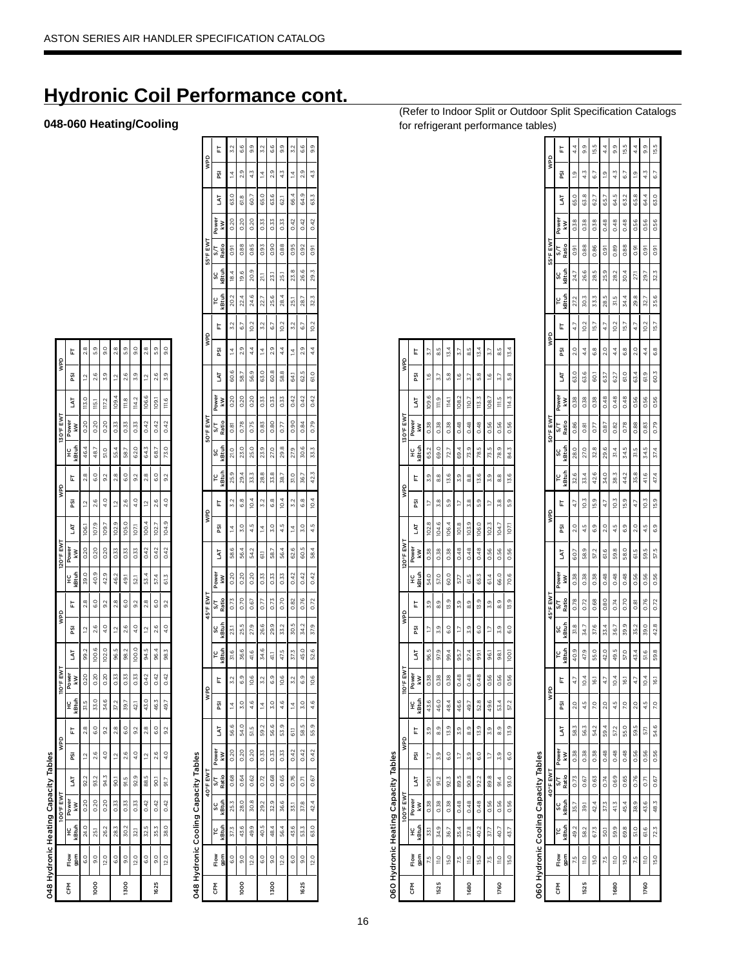# **Hydronic Coil Performance cont.**

## 048-060 Heating/Cooling

L.

ga

ĪÝ,

L.

g

IÅT

岀

g

**IVI** 

岀

g

 $\overline{\mathbf{z}}$ 

 $\mathsf{Flow}$ 

CFM

 $\tilde{S}$ 

1000

048 Hydronic Heating Capacity Tables

 $\overline{5}$ 

8

 $0.20$ 

0.42

0.33  $0.33$ 

 $52.0$ ...

 $^{0}$ 

5

105.0

 $0.33$  $0.33$  $0.42$ 

 $49.1$ 

co S

ğ

 $0.3$  $2.5$ 

 $_{\rm 9.0}$ 

1300

 $\overline{2.0}$  $\overline{6}$ .0 9.0  $12.0$ 

1625

| ī |
|---|
| í |
|   |
| J |

O60 Hydronic Heating Capacity Tables

|                            | E                | 3.7           | 5.9            | 13.4          | 3.7           | 5.g           | 13.4          | 3.7   | LC<br>ထ        | 13.4             |
|----------------------------|------------------|---------------|----------------|---------------|---------------|---------------|---------------|-------|----------------|------------------|
| gaw                        | ន្ទ្រ            | $\frac{6}{2}$ | 57             | 3<br>5        | $\frac{6}{2}$ | 5.7           | $\frac{8}{5}$ | 16    | 5.7            | $\frac{8}{5}$    |
|                            | 5                | G<br>109      | $\frac{9}{2}$  | 114.1         | 108.2         | 10.7          | 113.3         | 108   | Π5             | 114.3            |
| 130°F EWT                  | Power<br>Š       | 0.38          | 0.38           | 0.38          | 0.48          | 0.48          | 0.48          | 0.56  | 0.56           | 0.56             |
|                            | <b>atuh</b><br>¥ | 65.2          | 69.0           | 72.7          | 69.4          | 73.9          | 78.5          | 73.5  | 78.9           | 84.3             |
| gaw                        | t                | 3.9           | 8.8            | 13.6          | 3.9           | 8.8           | 13.6          | 3.9   | $\frac{8}{3}$  | 13.6             |
|                            | g                | 21            | 3.8            | 5.9           | י             | 3.8           | S.            | 17    | 3.8            | 5.3              |
|                            | TY.              | 102.8         | 104.6          | 106.          | 101.8         | 103.9         | 106.0         | 102.3 | r<br>104.      | io               |
| 120°F EWT                  | Power<br>š       | 0.38          | 0.38           | 0.38          | 0.48          | 0.48          | 0.48          | 0.56  | 0.56           | 0.56             |
|                            | kBtuh<br>¥       | 54.0          | 57.0           | 60.0          | .<br>5        | 61.5          | 65.3          | 61.4  | 66.0           | 70.6             |
| QdM                        | t                | 3.9           | <u>თ</u>       | 13.9          | 3.9           | 83            | 13.9          | 3.9   | ග<br>ග         | 13.9             |
|                            | ត្ត              | 17            | 3.9            | C.O           | 21            | 3.9           | $\frac{0}{6}$ | 17    | 3.9            | 60               |
|                            | <b>IAT</b>       | 96.5          | 97,9           | 99.4          | 95.7          | 97.4          | .<br>8        | 56    | .<br>ფ         | loo!             |
| <b>TIO<sup>o</sup>FEWT</b> | Power<br>ξ       | 0.38          | 0.38           | 0.38          | 0.48          | 0.48          | 0.48          | 0.56  | 0.56           | 0.56             |
|                            | kBtuh<br>¥       | 43.6          | 46.0           | 48.4          | 46.6          | 49.7          | 52.8          | 49.6  | 53.4           | 57.2             |
| QdM                        | t                | 5.9           | 0,0            | 13.9          | 3.9           | ග්            | 13.9          | 3.9   | 0,0            | 13.9             |
|                            | ត្ត              | 17            | 3.9            | $\frac{0}{6}$ | Ξ             | 3.9           | $\frac{0}{6}$ | 17    | 3.9            | $\overline{6.0}$ |
| Į                          | 5                | ā             | 91,2           | 92.3          | 89.5          | 90.8          | 922           | 89.8  | į<br>5         | 93.0             |
| 100°F EW                   | Power<br>kW      | 0.38          | 0.38           | 0.38          | 0.48          | 0.48          | 0.48          | 0.56  | 0.56           | 0.56             |
|                            | kBtuh<br>¥       | 33.1          | 34.9           | 36.7          | 35.4          | 37.8          | 40.2          | 37.7  | 40.7           | 43.7             |
|                            | gpm<br>Flow      | ľб.           | $\frac{0}{11}$ | 15.0          | 7.5           | $\frac{0}{1}$ | 15.0          | 7.5   | $\frac{0}{10}$ | 15.0             |
|                            | 좂                |               | 1525           |               |               | 1680          |               |       | 1760           |                  |

|      | <b>O6O Hydronic Cooling Capacity Tables</b> |       |             |             |             |      |                |                 |             |              |              |            |        |                |      |                   |              |                        |            |      |               |      |             |              |                |            |                 |               |         |
|------|---------------------------------------------|-------|-------------|-------------|-------------|------|----------------|-----------------|-------------|--------------|--------------|------------|--------|----------------|------|-------------------|--------------|------------------------|------------|------|---------------|------|-------------|--------------|----------------|------------|-----------------|---------------|---------|
|      |                                             |       |             | 40°F EWT    |             |      | gaw            |                 |             |              | 45°F EWT     |            |        | gaw            |      |                   |              | 50°F EWT               |            |      | gaw           |      |             |              | 55°F EWT       |            |                 | gaw           |         |
| 동    | Flow<br>gpm                                 | (Btuh | sc<br>kBtuh | Ratio<br>S΄ | Power<br>kW | 5    | PSI            | L,              | kBtuh<br>۲C | kBtuh<br>ပ္လ | Ratio<br>S/T | Power<br>š | š      | g              | ե    | <b>GEtuh</b><br>Ľ | kBtuh<br>ပ္တ | Ratio<br>$\frac{1}{2}$ | Power<br>š | 5    | g             | t    | (Btuh<br>۲C | kBtuh<br>ပ္တ | Ratio<br>5/T   | Power<br>š | TY.             | ត្ត           | Ë       |
|      | 7.5                                         | 492   | 35.7        | 0.73        | 0.38        | 583  | $\frac{0}{20}$ | 4.7             | 40.9        | 31.8         | 0.78         | 0.38       | 60.7   | $\frac{0}{2}$  | 47   | 32.6              | 28.0         | 0.86                   | 0.38       | 63.0 | $\frac{0}{2}$ | 47   | 27,2        | 24.7         | $\overline{0}$ | 0.38       | 65.0            | $\frac{0}{2}$ | 4.4     |
| 1525 | $\frac{0}{10}$                              | 58.2  | 39.1        | 0.67        | 0.38        | 56.3 | 45             | 0.4             | 47.9        | 34.7         | 0.72         | 0.38       | 58.9   | 4.5            | 10.3 | 33.4              | 27.0         | 0.81                   | 0.38       | 63.6 | 4.4           | 10.2 | 30.3        | 26.6         | 0.88           | 0.38       | 63.8            | 4.3           | 0)<br>თ |
|      | 15.0                                        | 67.3  | 42.4        | 0.63        | 0.38        | 54.2 | 20             | I6.             | 55.0        | 37.6         | 0.68         | 0.38       | 57.2   | 6.9            | 15.9 | 42.6              | 32.8         | 0.77                   | 0.38       | ë    | 6.8           | 15.7 | 33.3        | 28.5         | 0.86           | 0.38       | $\overline{62}$ | 6.7           | 15.5    |
|      | 7.5                                         | 50.1  | 37.3        | 0.74        | 0.48        | 59.4 | 2.0            | 4.7             | 42.0        | 33.4         | 0.80         | 0.48       | ٯ<br>ಠ | 2.0            | 4.7  | 34.0              | 29.6         | 0.87                   | 0.48       | 63.7 | 2.0           | 4.7  | 28.5        | 25.9         | 0.91           | 0.48       | Ġ5              | $\frac{0}{2}$ | 4.4     |
| 1680 | $\frac{0}{10}$                              | 59.9  | 41.3        | 0.69        | 0.48        | 57.2 | 4.5            | 10.4            | 49.5        | 36.7         | 0.74         | 0.48       | 59.8   | 4.5            | 10.3 | 38.3              | 31,4         | 0.82                   | 0.48       | 62.7 | 4.4           | 10.2 | 31.5        | 282          | 0.89           | 0.48       | 645             | 4.3           | 93      |
|      | 15.0                                        | 69.8  | 45.4        | 0.65        | 0.48        | 55.0 | P.O            | $\overline{5}$  | 57.0        | 39.9         | 0.70         | 0.48       | 58.0   | 6.9            | 15.9 | 44.2              | 34.5         | 0.78                   | 0.48       | 61.0 | 6.8           | 15.7 | 34.4        | 30.4         | 0.88           | 0.48       | 63.2            | 67            | 15.5    |
|      | 7.5                                         | 51.0  | 38.9        | 0.76        | 0.56        | 59.5 | $\frac{0}{2}$  | 4.7             | 43.4        | 35.2         | 0.81         | 0.56       | 61.5   | $\frac{0}{20}$ | 4.7  | 35.8              | 31.5         | 0.88                   | 0.56       | 63.4 | $\frac{0}{2}$ | 4.7  | 29.8        | 27.          | 0.91           | 0.56       | 65.8            | $\frac{0}{2}$ | 4.4     |
| 1760 | $\frac{0}{10}$                              | 61.6  | 43.6        | 0.71        | 0.56        | 57,1 | 4.5            | 0.4             | 51.6        | 39.0         | 0.76         | 0.56       | 59.5   | 4.5            | 10.3 | 41.6              | 34.5         | 0.83                   | 0.56       | 6.9  | 4.4           | 10.2 | 32.7        | 29.7         | 0.91           | 0.56       | 64.4            | 4.3           | 9.9     |
|      | 15.0                                        | 72.3  | 48.3        | 0.67        | 0.56        | 54.6 | 20             | $\overline{16}$ | 59.8        | 42.8         | 0.72         | 0.56       | 57.5   | 6.9            | 15.9 | 47.4              | 37.4         | 0.79                   | 0.56       | 60.3 | 6.8           | 15.7 | 35.6        | 32.3         | $\overline{0}$ | 0.56       | 63.0            | 67            | 15.5    |
|      |                                             |       |             |             |             |      |                |                 |             |              |              |            |        |                |      |                   |              |                        |            |      |               |      |             |              |                |            |                 |               |         |

(Refer to Indoor Split or Outdoor Split Specification Catalogs for refrigerant performance tables)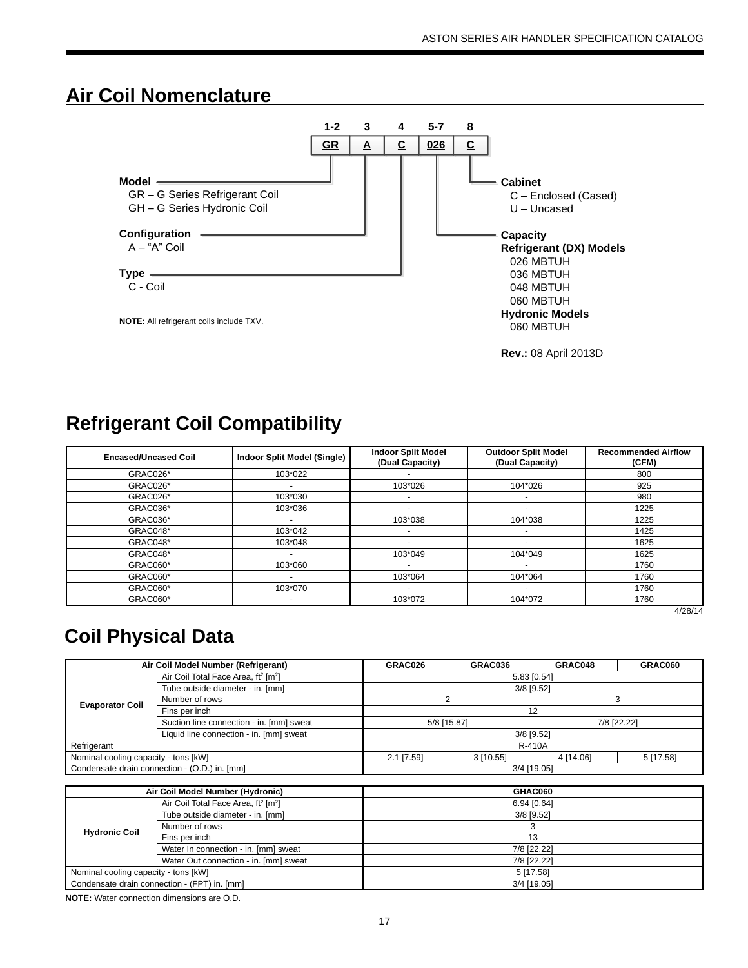## **Air Coil Nomenclature**



# **Refrigerant Coil Compatibility**

| <b>Encased/Uncased Coil</b> | <b>Indoor Split Model (Single)</b> | <b>Indoor Split Model</b><br>(Dual Capacity) | <b>Outdoor Split Model</b><br>(Dual Capacity) | <b>Recommended Airflow</b><br>(CFM) |
|-----------------------------|------------------------------------|----------------------------------------------|-----------------------------------------------|-------------------------------------|
| GRAC026*                    | 103*022                            |                                              |                                               | 800                                 |
| GRAC026*                    | $\overline{\phantom{a}}$           | 103*026                                      | 104*026                                       | 925                                 |
| GRAC026*                    | 103*030                            |                                              | $\overline{\phantom{0}}$                      | 980                                 |
| GRAC036*                    | 103*036                            | -                                            |                                               | 1225                                |
| GRAC036*                    | -                                  | 103*038                                      | 104*038                                       | 1225                                |
| GRAC048*                    | 103*042                            | -                                            |                                               | 1425                                |
| GRAC048*                    | 103*048                            | ۰                                            |                                               | 1625                                |
| GRAC048*                    | $\overline{\phantom{0}}$           | 103*049                                      | 104*049                                       | 1625                                |
| GRAC060*                    | 103*060                            | -                                            |                                               | 1760                                |
| GRAC060*                    | -                                  | 103*064                                      | 104*064                                       | 1760                                |
| GRAC060*                    | 103*070                            | ٠                                            |                                               | 1760                                |
| GRAC060*                    |                                    | 103*072                                      | 104*072                                       | 1760                                |

4/28/14

# **Coil Physical Data**

|                                      | Air Coil Model Number (Refrigerant)                         | GRAC026     | GRAC036     | GRAC048      | GRAC060     |
|--------------------------------------|-------------------------------------------------------------|-------------|-------------|--------------|-------------|
|                                      | Air Coil Total Face Area, ft <sup>2</sup> [m <sup>2</sup> ] |             | 5.83 [0.54] |              |             |
|                                      | Tube outside diameter - in. [mm]                            |             |             | $3/8$ [9.52] |             |
| <b>Evaporator Coil</b>               | Number of rows                                              |             |             |              |             |
|                                      | Fins per inch                                               |             |             | 12           |             |
|                                      | Suction line connection - in. [mm] sweat                    | 5/8 [15.87] |             |              | 7/8 [22.22] |
|                                      | Liquid line connection - in. [mm] sweat                     |             |             | $3/8$ [9.52] |             |
| Refrigerant                          |                                                             |             |             | R-410A       |             |
| Nominal cooling capacity - tons [kW] |                                                             | 2.1 [7.59]  | 3[10.55]    | 4 [14.06]    | 5 [17.58]   |
|                                      | Condensate drain connection - (O.D.) in. [mm]               |             |             | 3/4 [19.05]  |             |

|                                      | Air Coil Model Number (Hydronic)                            | GHAC060      |
|--------------------------------------|-------------------------------------------------------------|--------------|
|                                      | Air Coil Total Face Area, ft <sup>2</sup> [m <sup>2</sup> ] | 6.94 [0.64]  |
|                                      | Tube outside diameter - in. [mm]                            | $3/8$ [9.52] |
| <b>Hydronic Coil</b>                 | Number of rows                                              |              |
|                                      | Fins per inch                                               | 13           |
|                                      | Water In connection - in. [mm] sweat                        | 7/8 [22.22]  |
|                                      | Water Out connection - in. [mm] sweat                       | 7/8 [22.22]  |
| Nominal cooling capacity - tons [kW] |                                                             | 5 [17.58]    |
|                                      | Condensate drain connection - (FPT) in. [mm]                | 3/4 [19.05]  |

**NOTE:** Water connection dimensions are O.D.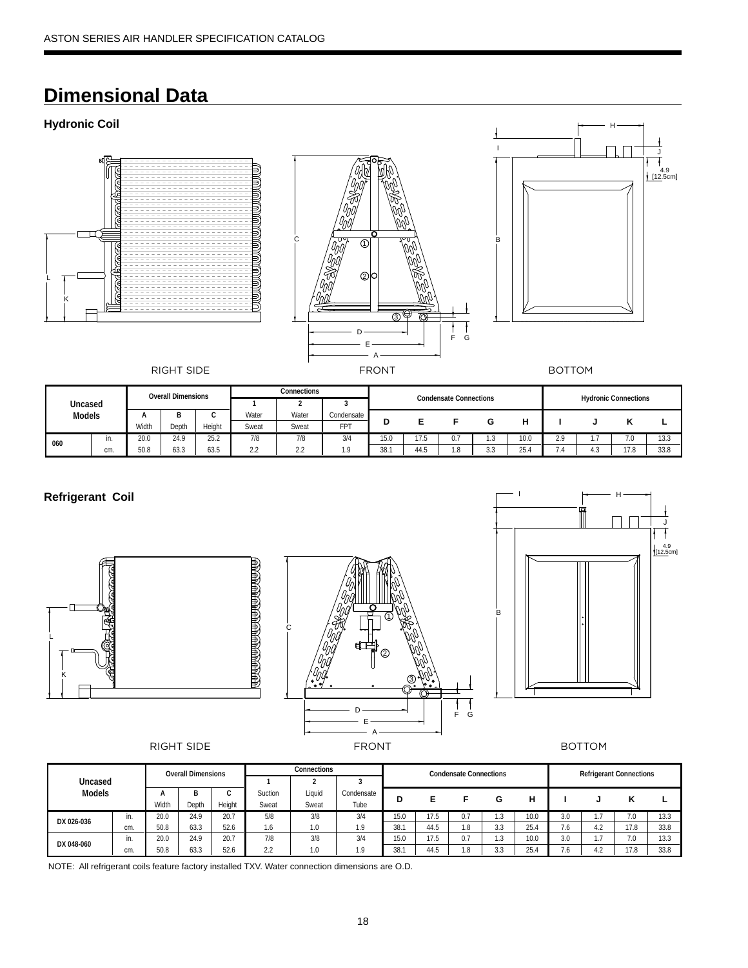# **Dimensional Data**

## **Hydronic Coil**







|         |     |       | <b>Overall Dimensions</b> |        |                                           | Connections |            |      |      | <b>Condensate Connections</b> |                |      |          |   |                             |      |
|---------|-----|-------|---------------------------|--------|-------------------------------------------|-------------|------------|------|------|-------------------------------|----------------|------|----------|---|-----------------------------|------|
| Uncased |     |       |                           |        |                                           |             |            |      |      |                               |                |      |          |   | <b>Hydronic Connections</b> |      |
| Models  |     |       |                           | ⌒      | Water                                     | Water       | Condensate |      |      |                               |                |      |          |   |                             |      |
|         |     | Width | Depth                     | Height | Sweat                                     | Sweat       | <b>FPT</b> | D    |      |                               | G              |      |          |   |                             |      |
| 060     | in. | 20.0  | 24.9                      | 25.2   | 7/8                                       | 7/8         | 3/4        | 15.0 | 17.5 | 0.7                           | $\sim$<br>ن. ا | 10.0 | 2.9      |   | 7.0                         | 13.3 |
|         | cm. | 50.8  | 63.3                      | 63.5   | $\sim$<br>$\mathcal{L} \cdot \mathcal{L}$ | 2.2         | 1.9        | 38.1 | 44.5 | 1.8                           | 3.3            | 25.4 | - -<br>. | 4 | 17.8                        | 33.8 |

## **Refrigerant Coil**







|               |     |       | <b>Overall Dimensions</b> |        |                      | Connections |            |      |      | <b>Condensate Connections</b> |                |      |     | <b>Refrigerant Connections</b> |      |      |
|---------------|-----|-------|---------------------------|--------|----------------------|-------------|------------|------|------|-------------------------------|----------------|------|-----|--------------------------------|------|------|
| Uncased       |     |       |                           |        |                      |             |            |      |      |                               |                |      |     |                                |      |      |
| <b>Models</b> |     |       | B                         |        | Suction              | Liauid      | Condensate | D    |      |                               | G              | н    |     |                                |      |      |
|               |     | Width | Depth                     | Height | Sweat                | Sweat       | Tube       |      |      |                               |                |      |     |                                |      |      |
| DX 026-036    | in. | 20.0  | 24.9                      | 20.7   | 5/8                  | 3/8         | 3/4        | 15.0 | 17.5 | 0.7                           | ن. ا           | 10.0 | 3.0 |                                | '.0  | 13.3 |
|               | cm. | 50.8  | 63.3                      | 52.6   | 1.6                  | 1.0         | 10         | 38.1 | 44.5 | 1.8                           | 3.3            | 25.4 | 1.6 | 4.2                            | 17.8 | 33.8 |
| DX 048-060    | in. | 20.0  | 24.9                      | 20.7   | 7/8                  | 3/8         | 3/4        | 15.0 | 17.5 | 0.7                           | $\sim$<br>ن. ا | 10.0 | 3.0 | .                              | 7.0  | 13.3 |
|               | cm. | 50.8  | 63.3                      | 52.6   | $\sim$ $\sim$<br>Z.Z | 1.0         | O          | 38.7 | 44.5 | 1.8                           | 3.3            | 25.4 | 7.6 |                                | 17.8 | 33.8 |

NOTE: All refrigerant coils feature factory installed TXV. Water connection dimensions are O.D.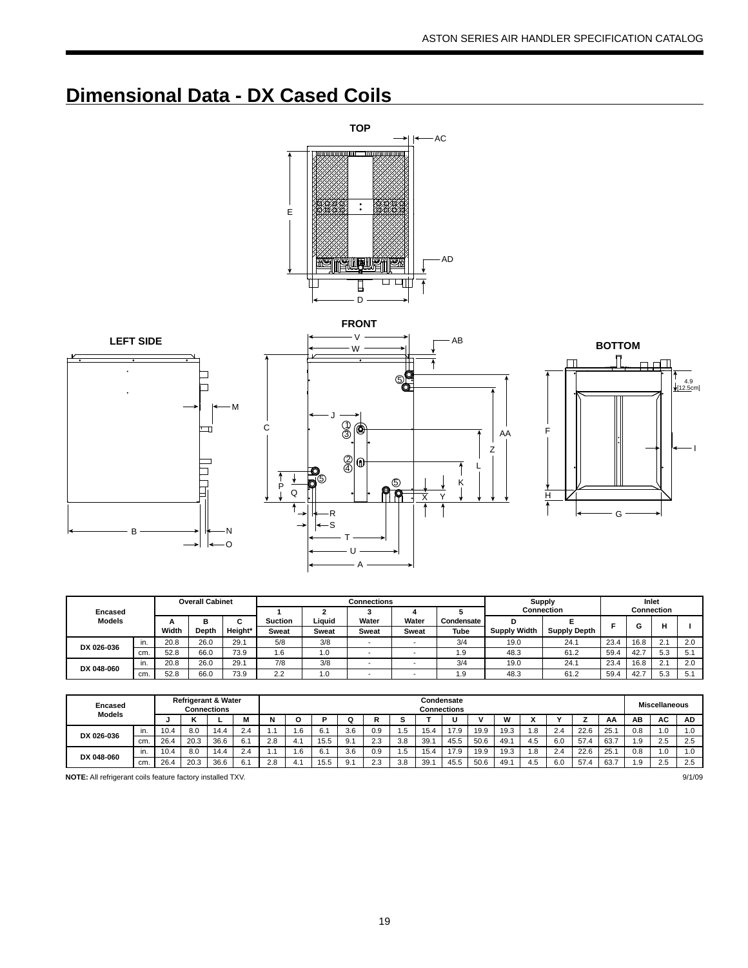# **Dimensional Data - DX Cased Coils**







Z AA

|                |     |       | <b>Overall Cabinet</b> |         |              |              | Connections |              |            | <b>Supply</b>       |                     |      | Inlet |                         |     |
|----------------|-----|-------|------------------------|---------|--------------|--------------|-------------|--------------|------------|---------------------|---------------------|------|-------|-------------------------|-----|
| <b>Encased</b> |     |       |                        |         |              |              |             |              |            |                     | <b>Connection</b>   |      |       | Connection              |     |
| <b>Models</b>  |     |       | в                      | ◠       | Suction      | Liquid       | Water       | Water        | Condensate |                     |                     |      |       |                         |     |
|                |     | Width | Depth                  | Height* | <b>Sweat</b> | <b>Sweat</b> | Sweat       | <b>Sweat</b> | Tube       | <b>Supply Width</b> | <b>Supply Depth</b> |      | G     |                         |     |
| DX 026-036     | in. | 20.8  | 26.0                   | 29.1    | 5/8          | 3/8          | -           |              | 3/4        | 19.0                | 24.1                | 23.4 | 16.8  | 24<br>2.1               | 2.0 |
|                | cm. | 52.8  | 66.C                   | 73.9    | .6           | 1.0          |             |              | 1.9        | 48.3                | 61.2                | 59.4 | 42.7  | 5.3                     | 5.1 |
| DX 048-060     | in. | 20.8  | 26.0                   | 29.7    | 7/8          | 3/8          |             |              | 3/4        | 19.0                | 24.1                | 23.4 | 16.8  | $\sim$ $\lambda$<br>۷.۱ | 2.0 |
|                | cm. | 52.8  | 66.0                   | 73.9    | 2.2          | 1.0          |             |              | 9. ا       | 48.3                | 61.2                | 59.4 | 42.7  | 5.3                     | 5.1 |

| Encased<br><b>Models</b> |     |      |      | <b>Refrigerant &amp; Water</b><br><b>Connections</b> |     |     |      |      |     |        |      |      | Condensate<br>Connections |      |      |     |     |      |      |      | <b>Miscellaneous</b> |           |
|--------------------------|-----|------|------|------------------------------------------------------|-----|-----|------|------|-----|--------|------|------|---------------------------|------|------|-----|-----|------|------|------|----------------------|-----------|
|                          |     |      |      |                                                      |     | N   |      |      |     | г<br>ĸ |      |      |                           |      | W    |     |     |      | АА   | AΒ   | AC.                  | <b>AD</b> |
| DX 026-036               | in. | 10.4 | 8.0  | 14.4                                                 | 2.4 |     | .6   | 6.1  | 3.6 | 0.9    | ם. ו | 15.4 | 17.9                      | 19.9 | 19.3 | . 8 | 2.4 | 22.6 | 25.  | 0.8  | 1.0                  | .0        |
|                          | cm. | 26.4 | 20.3 | 36.6                                                 | 6.1 | 2.8 | -4.  | 15.5 | 9.1 | 2.3    | 3.8  | 39.  | 45.5                      | 50.6 | 49.7 | 4.5 | 6.0 | 57.4 | 63.7 | 9. ا | 2.5                  | 2.5       |
| DX 048-060               | in. | 10.4 | 8.0  | 14.4                                                 | 2.4 |     | 6. ا | 6.1  | 3.6 | 0.9    | Ŀ.   | 15.4 | 17.9                      | 19.9 | 19.3 | . 8 | 2.4 | 22.6 | 25.  | 0.8  | 1.0                  | 0. ا      |
|                          | cm. | 26.4 | 20.3 | 36.6                                                 | 6.1 | 2.8 | Δ    | 15.5 | 9.1 | 2.3    | 3.8  | 39.  | 45.5                      | 50.6 | 49.7 | 4.5 | 6.0 | 57   | 63.7 | 9. ا | 2.5                  | 2.5       |

**NOTE:** All refrigerant coils feature factory installed TXV. 9/1/09

19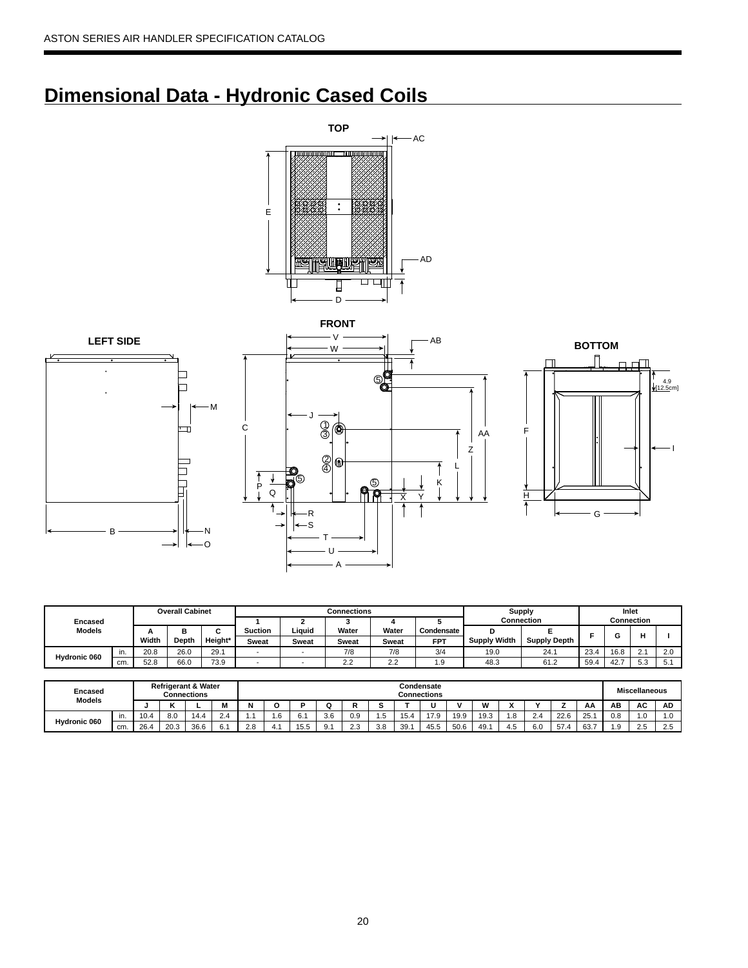# **Dimensional Data - Hydronic Cased Coils**











|                |     |       | <b>Overall Cabinet</b> |         |              |              | Connections |                      |                 |                     | <b>Supply</b>       |      | Inlet      |                        |          |
|----------------|-----|-------|------------------------|---------|--------------|--------------|-------------|----------------------|-----------------|---------------------|---------------------|------|------------|------------------------|----------|
| <b>Encased</b> |     |       |                        |         |              |              |             |                      |                 |                     | <b>Connection</b>   |      | Connection |                        |          |
| <b>Models</b>  |     |       | −                      |         | Suction      | Liauid       | Water       | Water                | Condensate      |                     |                     |      |            |                        |          |
|                |     | Width | Depth                  | Height* | <b>Sweat</b> | <b>Sweat</b> | Sweat       | Sweat                | <b>FPT</b>      | <b>Supply Width</b> | <b>Supply Depth</b> |      |            |                        |          |
| Hydronic 060   | in. | 20.8  | 26.0                   | 29.1    |              |              | 7/8         | 7/8                  | 3/4             | 19.0                | 24.1                | 23.4 | 16.8       | $\sim$ $\lambda$<br>۷. | $\Omega$ |
|                | cm. | 52.8  | 66.0                   | 73.9    |              |              | 2.2         | $\sim$ $\sim$<br>ے ۔ | $\Omega$<br>1.J | 48.3                | 61.2                | 59.4 | 107<br>42. | 52<br>- ບ.ບ            |          |

| Encased       |     |      |                         | <b>Refrigerant &amp; Water</b><br>Connections |               |     |     |      |         |                      |      |                        | Condensate<br>Connections |      |                   |     |                       |      |      |                | <b>Miscellaneous</b> |                          |
|---------------|-----|------|-------------------------|-----------------------------------------------|---------------|-----|-----|------|---------|----------------------|------|------------------------|---------------------------|------|-------------------|-----|-----------------------|------|------|----------------|----------------------|--------------------------|
| <b>Models</b> |     |      |                         |                                               | IVI           | N   |     |      |         |                      | -    |                        |                           |      | <b>186</b><br>V V |     | $\cdot$               |      | AA   | ΑВ             | AC                   | AD                       |
| Hydronic 060  |     | 10.4 | 8.0                     | 14.4                                          | $\sim$<br>2.4 |     | טו. | 6.1  | 3.6     | 0.9                  | ن. ا | $\overline{A}$<br>-. ب | 17.9                      | 19.9 | 19.3              | . с | 2 <sub>1</sub><br>ی ک | 22.6 | 25.1 | 0.8            | $\cdot$              | 1.0                      |
|               | cm. | 26.4 | 20 <sup>1</sup><br>ن.∪∠ | 36.6                                          | $\sim$        | 2.8 | т.  | 15.5 | ົ<br>o. | $\sim$ $\sim$<br>د.ء | 3.8  | 39.                    | 45.5                      | 50.6 | 49.               | ن + | 6.0                   | 57.  | 63.7 | $\Omega$<br>ت. | $\Omega$<br>ن.ے      | $\sim$ $\epsilon$<br>2.5 |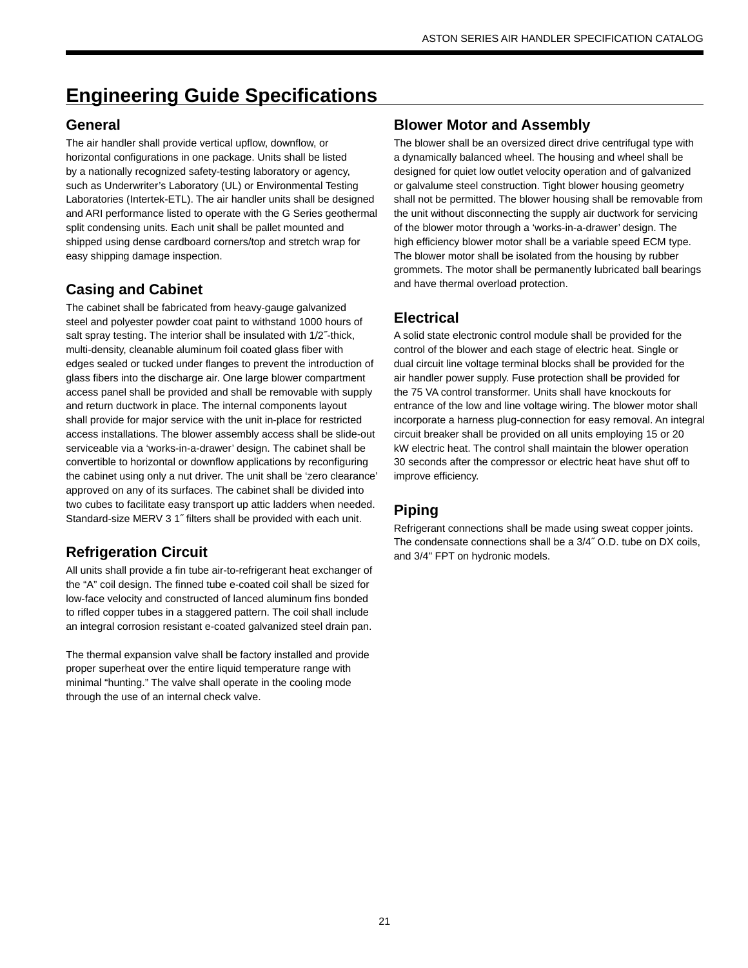# **Engineering Guide Specifications**

## **General**

The air handler shall provide vertical upflow, downflow, or horizontal configurations in one package. Units shall be listed by a nationally recognized safety-testing laboratory or agency, such as Underwriter's Laboratory (UL) or Environmental Testing Laboratories (Intertek-ETL). The air handler units shall be designed and ARI performance listed to operate with the G Series geothermal split condensing units. Each unit shall be pallet mounted and shipped using dense cardboard corners/top and stretch wrap for easy shipping damage inspection.

## **Casing and Cabinet**

The cabinet shall be fabricated from heavy-gauge galvanized steel and polyester powder coat paint to withstand 1000 hours of salt spray testing. The interior shall be insulated with 1/2˝-thick, multi-density, cleanable aluminum foil coated glass fiber with edges sealed or tucked under flanges to prevent the introduction of glass fibers into the discharge air. One large blower compartment access panel shall be provided and shall be removable with supply and return ductwork in place. The internal components layout shall provide for major service with the unit in-place for restricted access installations. The blower assembly access shall be slide-out serviceable via a 'works-in-a-drawer' design. The cabinet shall be convertible to horizontal or downflow applications by reconfiguring the cabinet using only a nut driver. The unit shall be 'zero clearance' approved on any of its surfaces. The cabinet shall be divided into two cubes to facilitate easy transport up attic ladders when needed. Standard-size MERV 3 1˝ filters shall be provided with each unit.

## **Refrigeration Circuit**

All units shall provide a fin tube air-to-refrigerant heat exchanger of the "A" coil design. The finned tube e-coated coil shall be sized for low-face velocity and constructed of lanced aluminum fins bonded to rifled copper tubes in a staggered pattern. The coil shall include an integral corrosion resistant e-coated galvanized steel drain pan.

The thermal expansion valve shall be factory installed and provide proper superheat over the entire liquid temperature range with minimal "hunting." The valve shall operate in the cooling mode through the use of an internal check valve.

## **Blower Motor and Assembly**

The blower shall be an oversized direct drive centrifugal type with a dynamically balanced wheel. The housing and wheel shall be designed for quiet low outlet velocity operation and of galvanized or galvalume steel construction. Tight blower housing geometry shall not be permitted. The blower housing shall be removable from the unit without disconnecting the supply air ductwork for servicing of the blower motor through a 'works-in-a-drawer' design. The high efficiency blower motor shall be a variable speed ECM type. The blower motor shall be isolated from the housing by rubber grommets. The motor shall be permanently lubricated ball bearings and have thermal overload protection.

## **Electrical**

A solid state electronic control module shall be provided for the control of the blower and each stage of electric heat. Single or dual circuit line voltage terminal blocks shall be provided for the air handler power supply. Fuse protection shall be provided for the 75 VA control transformer. Units shall have knockouts for entrance of the low and line voltage wiring. The blower motor shall incorporate a harness plug-connection for easy removal. An integral circuit breaker shall be provided on all units employing 15 or 20 kW electric heat. The control shall maintain the blower operation 30 seconds after the compressor or electric heat have shut off to improve efficiency.

## **Piping**

Refrigerant connections shall be made using sweat copper joints. The condensate connections shall be a 3/4˝ O.D. tube on DX coils, and 3/4" FPT on hydronic models.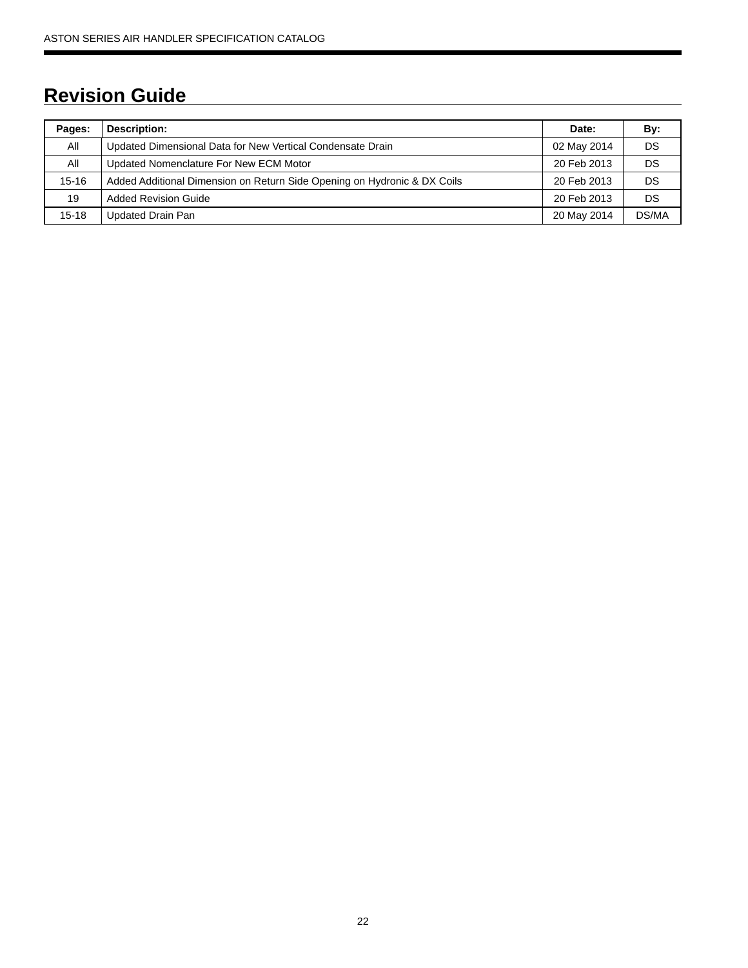# **Revision Guide**

| Pages:    | <b>Description:</b>                                                      | Date:       | By:   |
|-----------|--------------------------------------------------------------------------|-------------|-------|
| All       | Updated Dimensional Data for New Vertical Condensate Drain               | 02 May 2014 | DS    |
| All       | Updated Nomenclature For New ECM Motor                                   | 20 Feb 2013 | DS    |
| $15 - 16$ | Added Additional Dimension on Return Side Opening on Hydronic & DX Coils | 20 Feb 2013 | DS    |
| 19        | <b>Added Revision Guide</b>                                              | 20 Feb 2013 | DS    |
| $15 - 18$ | Updated Drain Pan                                                        | 20 May 2014 | DS/MA |